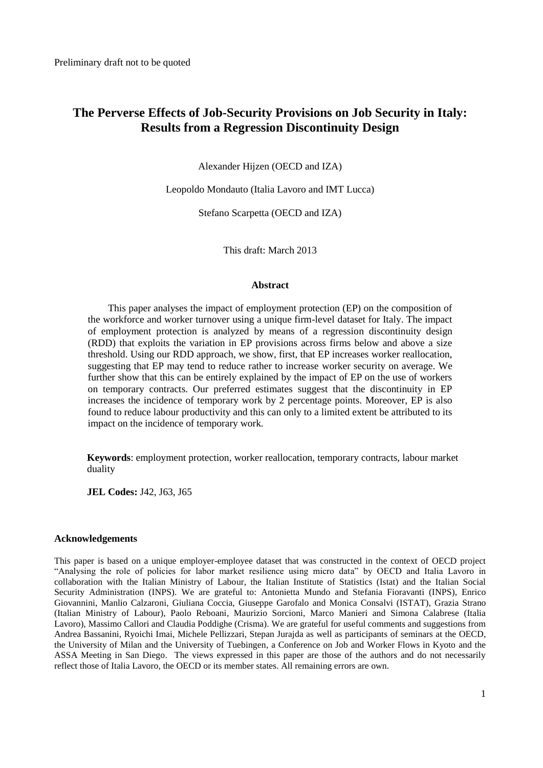# **The Perverse Effects of Job-Security Provisions on Job Security in Italy: Results from a Regression Discontinuity Design**

Alexander Hijzen (OECD and IZA)

Leopoldo Mondauto (Italia Lavoro and IMT Lucca)

Stefano Scarpetta (OECD and IZA)

This draft: March 2013

# **Abstract**

This paper analyses the impact of employment protection (EP) on the composition of the workforce and worker turnover using a unique firm-level dataset for Italy. The impact of employment protection is analyzed by means of a regression discontinuity design (RDD) that exploits the variation in EP provisions across firms below and above a size threshold. Using our RDD approach, we show, first, that EP increases worker reallocation, suggesting that EP may tend to reduce rather to increase worker security on average. We further show that this can be entirely explained by the impact of EP on the use of workers on temporary contracts. Our preferred estimates suggest that the discontinuity in EP increases the incidence of temporary work by 2 percentage points. Moreover, EP is also found to reduce labour productivity and this can only to a limited extent be attributed to its impact on the incidence of temporary work.

**Keywords**: employment protection, worker reallocation, temporary contracts, labour market duality

**JEL Codes:** J42, J63, J65

#### **Acknowledgements**

This paper is based on a unique employer-employee dataset that was constructed in the context of OECD project "Analysing the role of policies for labor market resilience using micro data" by OECD and Italia Lavoro in collaboration with the Italian Ministry of Labour, the Italian Institute of Statistics (Istat) and the Italian Social Security Administration (INPS). We are grateful to: Antonietta Mundo and Stefania Fioravanti (INPS), Enrico Giovannini, Manlio Calzaroni, Giuliana Coccia, Giuseppe Garofalo and Monica Consalvi (ISTAT), Grazia Strano (Italian Ministry of Labour), Paolo Reboani, Maurizio Sorcioni, Marco Manieri and Simona Calabrese (Italia Lavoro), Massimo Callori and Claudia Poddighe (Crisma). We are grateful for useful comments and suggestions from Andrea Bassanini, Ryoichi Imai, Michele Pellizzari, Stepan Jurajda as well as participants of seminars at the OECD, the University of Milan and the University of Tuebingen, a Conference on Job and Worker Flows in Kyoto and the ASSA Meeting in San Diego. The views expressed in this paper are those of the authors and do not necessarily reflect those of Italia Lavoro, the OECD or its member states. All remaining errors are own.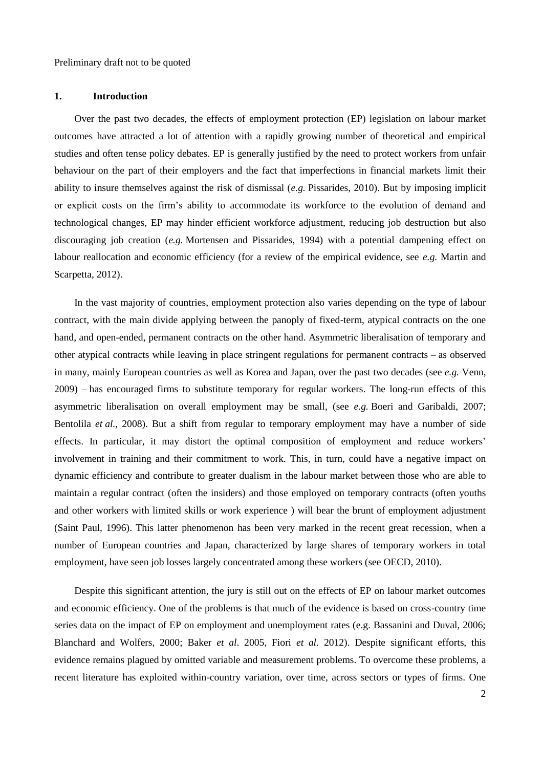### **1. Introduction**

Over the past two decades, the effects of employment protection (EP) legislation on labour market outcomes have attracted a lot of attention with a rapidly growing number of theoretical and empirical studies and often tense policy debates. EP is generally justified by the need to protect workers from unfair behaviour on the part of their employers and the fact that imperfections in financial markets limit their ability to insure themselves against the risk of dismissal (*e.g.* Pissarides, 2010). But by imposing implicit or explicit costs on the firm"s ability to accommodate its workforce to the evolution of demand and technological changes, EP may hinder efficient workforce adjustment, reducing job destruction but also discouraging job creation (*e.g.* Mortensen and Pissarides, 1994) with a potential dampening effect on labour reallocation and economic efficiency (for a review of the empirical evidence, see *e.g.* Martin and Scarpetta, 2012).

In the vast majority of countries, employment protection also varies depending on the type of labour contract, with the main divide applying between the panoply of fixed-term, atypical contracts on the one hand, and open-ended, permanent contracts on the other hand. Asymmetric liberalisation of temporary and other atypical contracts while leaving in place stringent regulations for permanent contracts – as observed in many, mainly European countries as well as Korea and Japan, over the past two decades (see *e.g.* Venn, 2009) – has encouraged firms to substitute temporary for regular workers. The long-run effects of this asymmetric liberalisation on overall employment may be small, (see *e.g.* Boeri and Garibaldi, 2007; Bentolila *et al.*, 2008). But a shift from regular to temporary employment may have a number of side effects. In particular, it may distort the optimal composition of employment and reduce workers" involvement in training and their commitment to work. This, in turn, could have a negative impact on dynamic efficiency and contribute to greater dualism in the labour market between those who are able to maintain a regular contract (often the insiders) and those employed on temporary contracts (often youths and other workers with limited skills or work experience ) will bear the brunt of employment adjustment (Saint Paul, 1996). This latter phenomenon has been very marked in the recent great recession, when a number of European countries and Japan, characterized by large shares of temporary workers in total employment, have seen job losses largely concentrated among these workers (see OECD, 2010).

Despite this significant attention, the jury is still out on the effects of EP on labour market outcomes and economic efficiency. One of the problems is that much of the evidence is based on cross-country time series data on the impact of EP on employment and unemployment rates (e.g. Bassanini and Duval, 2006; Blanchard and Wolfers, 2000; Baker *et al*. 2005, Fiori *et al.* 2012). Despite significant efforts, this evidence remains plagued by omitted variable and measurement problems. To overcome these problems, a recent literature has exploited within-country variation, over time, across sectors or types of firms. One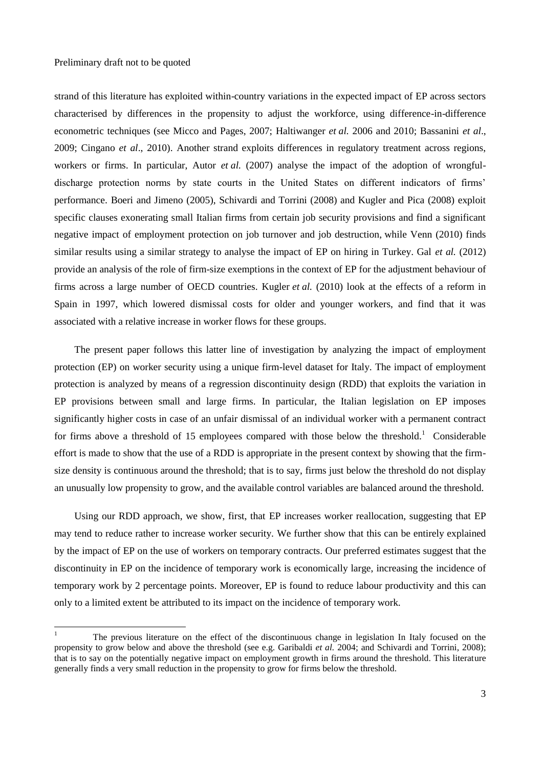strand of this literature has exploited within-country variations in the expected impact of EP across sectors characterised by differences in the propensity to adjust the workforce, using difference-in-difference econometric techniques (see Micco and Pages, 2007; Haltiwanger *et al.* 2006 and 2010; Bassanini *et al*., 2009; Cingano *et al*., 2010). Another strand exploits differences in regulatory treatment across regions, workers or firms. In particular, Autor *et al.* (2007) analyse the impact of the adoption of wrongfuldischarge protection norms by state courts in the United States on different indicators of firms' performance. Boeri and Jimeno (2005), Schivardi and Torrini (2008) and Kugler and Pica (2008) exploit specific clauses exonerating small Italian firms from certain job security provisions and find a significant negative impact of employment protection on job turnover and job destruction, while Venn (2010) finds similar results using a similar strategy to analyse the impact of EP on hiring in Turkey. Gal *et al.* (2012) provide an analysis of the role of firm-size exemptions in the context of EP for the adjustment behaviour of firms across a large number of OECD countries. Kugler *et al.* (2010) look at the effects of a reform in Spain in 1997, which lowered dismissal costs for older and younger workers, and find that it was associated with a relative increase in worker flows for these groups.

The present paper follows this latter line of investigation by analyzing the impact of employment protection (EP) on worker security using a unique firm-level dataset for Italy. The impact of employment protection is analyzed by means of a regression discontinuity design (RDD) that exploits the variation in EP provisions between small and large firms. In particular, the Italian legislation on EP imposes significantly higher costs in case of an unfair dismissal of an individual worker with a permanent contract for firms above a threshold of 15 employees compared with those below the threshold.<sup>1</sup> Considerable effort is made to show that the use of a RDD is appropriate in the present context by showing that the firmsize density is continuous around the threshold; that is to say, firms just below the threshold do not display an unusually low propensity to grow, and the available control variables are balanced around the threshold.

Using our RDD approach, we show, first, that EP increases worker reallocation, suggesting that EP may tend to reduce rather to increase worker security. We further show that this can be entirely explained by the impact of EP on the use of workers on temporary contracts. Our preferred estimates suggest that the discontinuity in EP on the incidence of temporary work is economically large, increasing the incidence of temporary work by 2 percentage points. Moreover, EP is found to reduce labour productivity and this can only to a limited extent be attributed to its impact on the incidence of temporary work.

<sup>1</sup> The previous literature on the effect of the discontinuous change in legislation In Italy focused on the propensity to grow below and above the threshold (see e.g. Garibaldi *et al.* 2004; and Schivardi and Torrini, 2008); that is to say on the potentially negative impact on employment growth in firms around the threshold. This literature generally finds a very small reduction in the propensity to grow for firms below the threshold.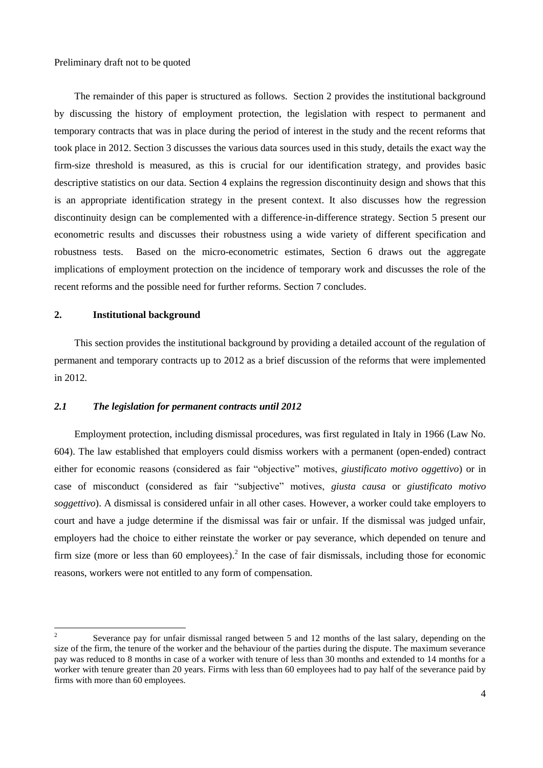The remainder of this paper is structured as follows. Section 2 provides the institutional background by discussing the history of employment protection, the legislation with respect to permanent and temporary contracts that was in place during the period of interest in the study and the recent reforms that took place in 2012. Section 3 discusses the various data sources used in this study, details the exact way the firm-size threshold is measured, as this is crucial for our identification strategy, and provides basic descriptive statistics on our data. Section 4 explains the regression discontinuity design and shows that this is an appropriate identification strategy in the present context. It also discusses how the regression discontinuity design can be complemented with a difference-in-difference strategy. Section 5 present our econometric results and discusses their robustness using a wide variety of different specification and robustness tests. Based on the micro-econometric estimates, Section 6 draws out the aggregate implications of employment protection on the incidence of temporary work and discusses the role of the recent reforms and the possible need for further reforms. Section 7 concludes.

# **2. Institutional background**

This section provides the institutional background by providing a detailed account of the regulation of permanent and temporary contracts up to 2012 as a brief discussion of the reforms that were implemented in 2012.

# *2.1 The legislation for permanent contracts until 2012*

Employment protection, including dismissal procedures, was first regulated in Italy in 1966 (Law No. 604). The law established that employers could dismiss workers with a permanent (open-ended) contract either for economic reasons (considered as fair "objective" motives, *giustificato motivo oggettivo*) or in case of misconduct (considered as fair "subjective" motives, *giusta causa* or *giustificato motivo soggettivo*). A dismissal is considered unfair in all other cases. However, a worker could take employers to court and have a judge determine if the dismissal was fair or unfair. If the dismissal was judged unfair, employers had the choice to either reinstate the worker or pay severance, which depended on tenure and firm size (more or less than 60 employees).<sup>2</sup> In the case of fair dismissals, including those for economic reasons, workers were not entitled to any form of compensation.

 $\frac{1}{2}$ Severance pay for unfair dismissal ranged between 5 and 12 months of the last salary, depending on the size of the firm, the tenure of the worker and the behaviour of the parties during the dispute. The maximum severance pay was reduced to 8 months in case of a worker with tenure of less than 30 months and extended to 14 months for a worker with tenure greater than 20 years. Firms with less than 60 employees had to pay half of the severance paid by firms with more than 60 employees.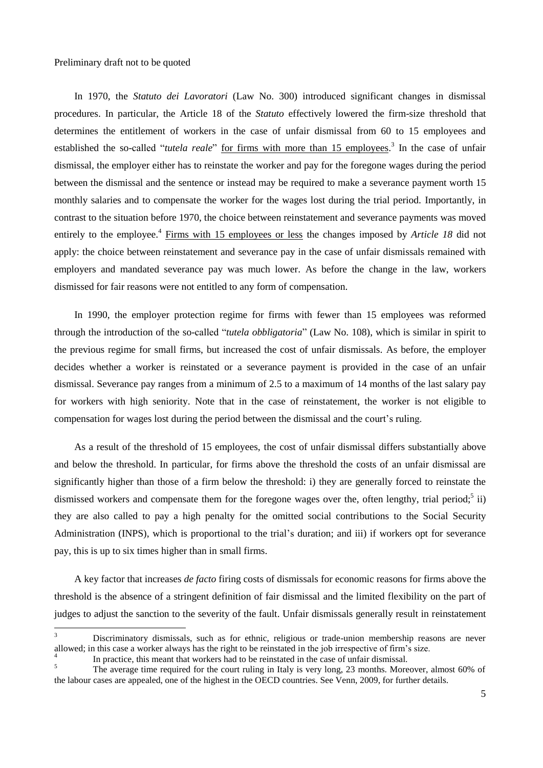In 1970, the *Statuto dei Lavoratori* (Law No. 300) introduced significant changes in dismissal procedures. In particular, the Article 18 of the *Statuto* effectively lowered the firm-size threshold that determines the entitlement of workers in the case of unfair dismissal from 60 to 15 employees and established the so-called "*tutela reale*" <u>for firms with more than 15 employees</u>.<sup>3</sup> In the case of unfair dismissal, the employer either has to reinstate the worker and pay for the foregone wages during the period between the dismissal and the sentence or instead may be required to make a severance payment worth 15 monthly salaries and to compensate the worker for the wages lost during the trial period. Importantly, in contrast to the situation before 1970, the choice between reinstatement and severance payments was moved entirely to the employee.<sup>4</sup> Firms with 15 employees or less the changes imposed by *Article 18* did not apply: the choice between reinstatement and severance pay in the case of unfair dismissals remained with employers and mandated severance pay was much lower. As before the change in the law, workers dismissed for fair reasons were not entitled to any form of compensation.

In 1990, the employer protection regime for firms with fewer than 15 employees was reformed through the introduction of the so-called "*tutela obbligatoria*" (Law No. 108), which is similar in spirit to the previous regime for small firms, but increased the cost of unfair dismissals. As before, the employer decides whether a worker is reinstated or a severance payment is provided in the case of an unfair dismissal. Severance pay ranges from a minimum of 2.5 to a maximum of 14 months of the last salary pay for workers with high seniority. Note that in the case of reinstatement, the worker is not eligible to compensation for wages lost during the period between the dismissal and the court"s ruling.

As a result of the threshold of 15 employees, the cost of unfair dismissal differs substantially above and below the threshold. In particular, for firms above the threshold the costs of an unfair dismissal are significantly higher than those of a firm below the threshold: i) they are generally forced to reinstate the dismissed workers and compensate them for the foregone wages over the, often lengthy, trial period;<sup>5</sup> ii) they are also called to pay a high penalty for the omitted social contributions to the Social Security Administration (INPS), which is proportional to the trial's duration; and iii) if workers opt for severance pay, this is up to six times higher than in small firms.

A key factor that increases *de facto* firing costs of dismissals for economic reasons for firms above the threshold is the absence of a stringent definition of fair dismissal and the limited flexibility on the part of judges to adjust the sanction to the severity of the fault. Unfair dismissals generally result in reinstatement

 $\overline{\mathbf{3}}$ <sup>3</sup> Discriminatory dismissals, such as for ethnic, religious or trade-union membership reasons are never allowed; in this case a worker always has the right to be reinstated in the job irrespective of firm"s size. 4

In practice, this meant that workers had to be reinstated in the case of unfair dismissal.

<sup>&</sup>lt;sup>5</sup><br>The average time required for the court ruling in Italy is very long, 23 months. Moreover, almost 60% of the labour cases are appealed, one of the highest in the OECD countries. See Venn, 2009, for further details.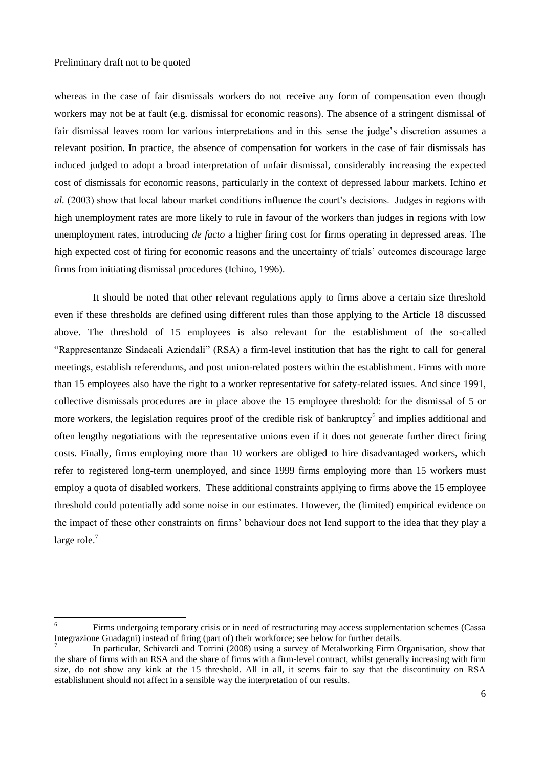$\overline{a}$ 

whereas in the case of fair dismissals workers do not receive any form of compensation even though workers may not be at fault (e.g. dismissal for economic reasons). The absence of a stringent dismissal of fair dismissal leaves room for various interpretations and in this sense the judge"s discretion assumes a relevant position. In practice, the absence of compensation for workers in the case of fair dismissals has induced judged to adopt a broad interpretation of unfair dismissal, considerably increasing the expected cost of dismissals for economic reasons, particularly in the context of depressed labour markets. Ichino *et al.* (2003) show that local labour market conditions influence the court's decisions. Judges in regions with high unemployment rates are more likely to rule in favour of the workers than judges in regions with low unemployment rates, introducing *de facto* a higher firing cost for firms operating in depressed areas. The high expected cost of firing for economic reasons and the uncertainty of trials' outcomes discourage large firms from initiating dismissal procedures (Ichino, 1996).

It should be noted that other relevant regulations apply to firms above a certain size threshold even if these thresholds are defined using different rules than those applying to the Article 18 discussed above. The threshold of 15 employees is also relevant for the establishment of the so-called "Rappresentanze Sindacali Aziendali" (RSA) a firm-level institution that has the right to call for general meetings, establish referendums, and post union-related posters within the establishment. Firms with more than 15 employees also have the right to a worker representative for safety-related issues. And since 1991, collective dismissals procedures are in place above the 15 employee threshold: for the dismissal of 5 or more workers, the legislation requires proof of the credible risk of bankruptcy<sup>6</sup> and implies additional and often lengthy negotiations with the representative unions even if it does not generate further direct firing costs. Finally, firms employing more than 10 workers are obliged to hire disadvantaged workers, which refer to registered long-term unemployed, and since 1999 firms employing more than 15 workers must employ a quota of disabled workers. These additional constraints applying to firms above the 15 employee threshold could potentially add some noise in our estimates. However, the (limited) empirical evidence on the impact of these other constraints on firms" behaviour does not lend support to the idea that they play a large role. $<sup>7</sup>$ </sup>

<sup>6</sup> Firms undergoing temporary crisis or in need of restructuring may access supplementation schemes (Cassa Integrazione Guadagni) instead of firing (part of) their workforce; see below for further details.

<sup>7</sup> In particular, Schivardi and Torrini (2008) using a survey of Metalworking Firm Organisation, show that the share of firms with an RSA and the share of firms with a firm-level contract, whilst generally increasing with firm size, do not show any kink at the 15 threshold. All in all, it seems fair to say that the discontinuity on RSA establishment should not affect in a sensible way the interpretation of our results.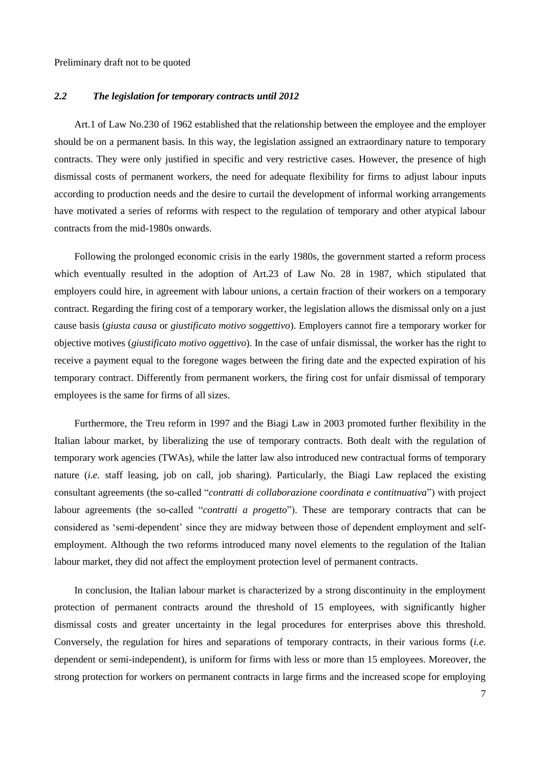# *2.2 The legislation for temporary contracts until 2012*

Art.1 of Law No.230 of 1962 established that the relationship between the employee and the employer should be on a permanent basis. In this way, the legislation assigned an extraordinary nature to temporary contracts. They were only justified in specific and very restrictive cases. However, the presence of high dismissal costs of permanent workers, the need for adequate flexibility for firms to adjust labour inputs according to production needs and the desire to curtail the development of informal working arrangements have motivated a series of reforms with respect to the regulation of temporary and other atypical labour contracts from the mid-1980s onwards.

Following the prolonged economic crisis in the early 1980s, the government started a reform process which eventually resulted in the adoption of Art.23 of Law No. 28 in 1987, which stipulated that employers could hire, in agreement with labour unions, a certain fraction of their workers on a temporary contract. Regarding the firing cost of a temporary worker, the legislation allows the dismissal only on a just cause basis (*giusta causa* or *giustificato motivo soggettivo*). Employers cannot fire a temporary worker for objective motives (*giustificato motivo oggettivo*). In the case of unfair dismissal, the worker has the right to receive a payment equal to the foregone wages between the firing date and the expected expiration of his temporary contract. Differently from permanent workers, the firing cost for unfair dismissal of temporary employees is the same for firms of all sizes.

Furthermore, the Treu reform in 1997 and the Biagi Law in 2003 promoted further flexibility in the Italian labour market, by liberalizing the use of temporary contracts. Both dealt with the regulation of temporary work agencies (TWAs), while the latter law also introduced new contractual forms of temporary nature (*i.e.* staff leasing, job on call, job sharing). Particularly, the Biagi Law replaced the existing consultant agreements (the so-called "*contratti di collaborazione coordinata e contitnuativa*") with project labour agreements (the so-called "*contratti a progetto*"). These are temporary contracts that can be considered as "semi-dependent" since they are midway between those of dependent employment and selfemployment. Although the two reforms introduced many novel elements to the regulation of the Italian labour market, they did not affect the employment protection level of permanent contracts.

In conclusion, the Italian labour market is characterized by a strong discontinuity in the employment protection of permanent contracts around the threshold of 15 employees, with significantly higher dismissal costs and greater uncertainty in the legal procedures for enterprises above this threshold. Conversely, the regulation for hires and separations of temporary contracts, in their various forms (*i.e.* dependent or semi-independent), is uniform for firms with less or more than 15 employees. Moreover, the strong protection for workers on permanent contracts in large firms and the increased scope for employing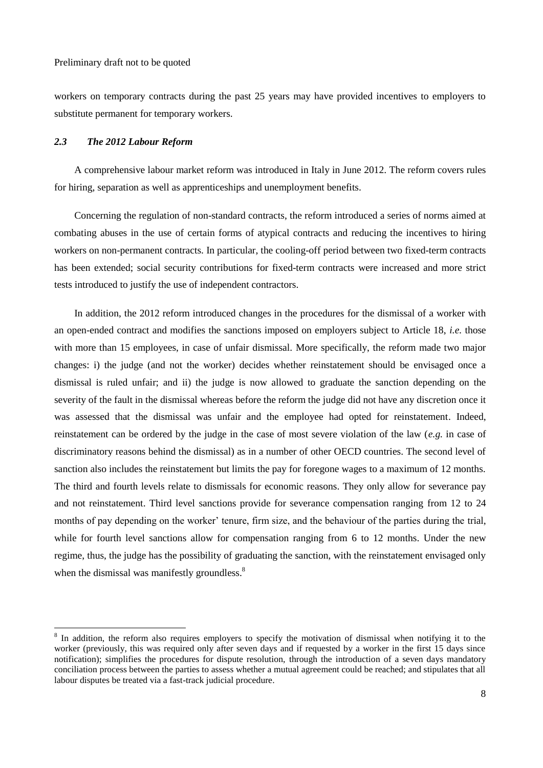workers on temporary contracts during the past 25 years may have provided incentives to employers to substitute permanent for temporary workers.

### *2.3 The 2012 Labour Reform*

A comprehensive labour market reform was introduced in Italy in June 2012. The reform covers rules for hiring, separation as well as apprenticeships and unemployment benefits.

Concerning the regulation of non-standard contracts, the reform introduced a series of norms aimed at combating abuses in the use of certain forms of atypical contracts and reducing the incentives to hiring workers on non-permanent contracts. In particular, the cooling-off period between two fixed-term contracts has been extended; social security contributions for fixed-term contracts were increased and more strict tests introduced to justify the use of independent contractors.

In addition, the 2012 reform introduced changes in the procedures for the dismissal of a worker with an open-ended contract and modifies the sanctions imposed on employers subject to Article 18, *i.e.* those with more than 15 employees, in case of unfair dismissal. More specifically, the reform made two major changes: i) the judge (and not the worker) decides whether reinstatement should be envisaged once a dismissal is ruled unfair; and ii) the judge is now allowed to graduate the sanction depending on the severity of the fault in the dismissal whereas before the reform the judge did not have any discretion once it was assessed that the dismissal was unfair and the employee had opted for reinstatement. Indeed, reinstatement can be ordered by the judge in the case of most severe violation of the law (*e.g.* in case of discriminatory reasons behind the dismissal) as in a number of other OECD countries. The second level of sanction also includes the reinstatement but limits the pay for foregone wages to a maximum of 12 months. The third and fourth levels relate to dismissals for economic reasons. They only allow for severance pay and not reinstatement. Third level sanctions provide for severance compensation ranging from 12 to 24 months of pay depending on the worker' tenure, firm size, and the behaviour of the parties during the trial, while for fourth level sanctions allow for compensation ranging from 6 to 12 months. Under the new regime, thus, the judge has the possibility of graduating the sanction, with the reinstatement envisaged only when the dismissal was manifestly groundless.<sup>8</sup>

<sup>&</sup>lt;sup>8</sup> In addition, the reform also requires employers to specify the motivation of dismissal when notifying it to the worker (previously, this was required only after seven days and if requested by a worker in the first 15 days since notification); simplifies the procedures for dispute resolution, through the introduction of a seven days mandatory conciliation process between the parties to assess whether a mutual agreement could be reached; and stipulates that all labour disputes be treated via a fast-track judicial procedure.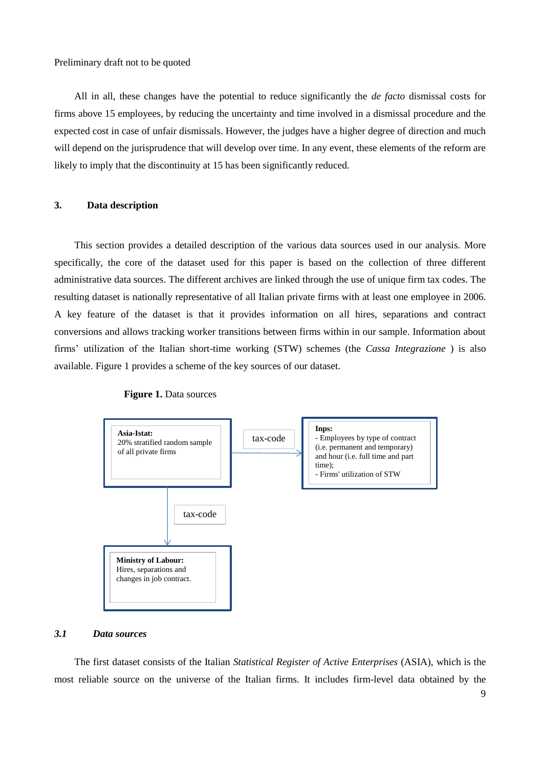All in all, these changes have the potential to reduce significantly the *de facto* dismissal costs for firms above 15 employees, by reducing the uncertainty and time involved in a dismissal procedure and the expected cost in case of unfair dismissals. However, the judges have a higher degree of direction and much will depend on the jurisprudence that will develop over time. In any event, these elements of the reform are likely to imply that the discontinuity at 15 has been significantly reduced.

# **3. Data description**

This section provides a detailed description of the various data sources used in our analysis. More specifically, the core of the dataset used for this paper is based on the collection of three different administrative data sources. The different archives are linked through the use of unique firm tax codes. The resulting dataset is nationally representative of all Italian private firms with at least one employee in 2006. A key feature of the dataset is that it provides information on all hires, separations and contract conversions and allows tracking worker transitions between firms within in our sample. Information about firms" utilization of the Italian short-time working (STW) schemes (the *Cassa Integrazione* ) is also available. Figure 1 provides a scheme of the key sources of our dataset.



**Figure 1.** Data sources

# *3.1 Data sources*

The first dataset consists of the Italian *Statistical Register of Active Enterprises* (ASIA), which is the most reliable source on the universe of the Italian firms. It includes firm-level data obtained by the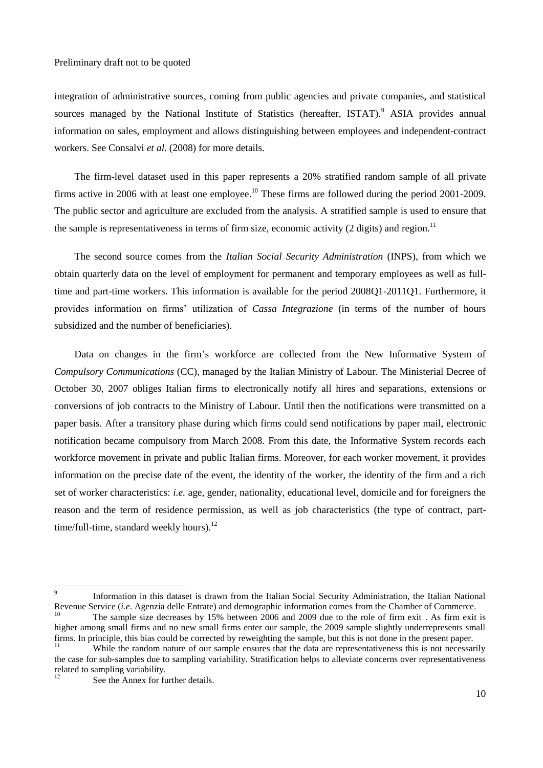integration of administrative sources, coming from public agencies and private companies, and statistical sources managed by the National Institute of Statistics (hereafter, ISTAT).<sup>9</sup> ASIA provides annual information on sales, employment and allows distinguishing between employees and independent-contract workers. See Consalvi *et al*. (2008) for more details.

The firm-level dataset used in this paper represents a 20% stratified random sample of all private firms active in 2006 with at least one employee.<sup>10</sup> These firms are followed during the period 2001-2009. The public sector and agriculture are excluded from the analysis. A stratified sample is used to ensure that the sample is representativeness in terms of firm size, economic activity  $(2 \text{ digits})$  and region.<sup>11</sup>

The second source comes from the *Italian Social Security Administration* (INPS), from which we obtain quarterly data on the level of employment for permanent and temporary employees as well as fulltime and part-time workers. This information is available for the period 2008Q1-2011Q1. Furthermore, it provides information on firms" utilization of *Cassa Integrazione* (in terms of the number of hours subsidized and the number of beneficiaries).

Data on changes in the firm"s workforce are collected from the New Informative System of *Compulsory Communications* (CC), managed by the Italian Ministry of Labour. The Ministerial Decree of October 30, 2007 obliges Italian firms to electronically notify all hires and separations, extensions or conversions of job contracts to the Ministry of Labour. Until then the notifications were transmitted on a paper basis. After a transitory phase during which firms could send notifications by paper mail, electronic notification became compulsory from March 2008. From this date, the Informative System records each workforce movement in private and public Italian firms. Moreover, for each worker movement, it provides information on the precise date of the event, the identity of the worker, the identity of the firm and a rich set of worker characteristics: *i.e.* age, gender, nationality, educational level, domicile and for foreigners the reason and the term of residence permission, as well as job characteristics (the type of contract, parttime/full-time, standard weekly hours). $^{12}$ 

 $\overline{a}$ 

<sup>9</sup> Information in this dataset is drawn from the Italian Social Security Administration, the Italian National Revenue Service (*i.e*. Agenzia delle Entrate) and demographic information comes from the Chamber of Commerce.

The sample size decreases by 15% between 2006 and 2009 due to the role of firm exit. As firm exit is higher among small firms and no new small firms enter our sample, the 2009 sample slightly underrepresents small firms. In principle, this bias could be corrected by reweighting the sample, but this is not done in the present paper.

While the random nature of our sample ensures that the data are representativeness this is not necessarily the case for sub-samples due to sampling variability. Stratification helps to alleviate concerns over representativeness related to sampling variability.

See the Annex for further details.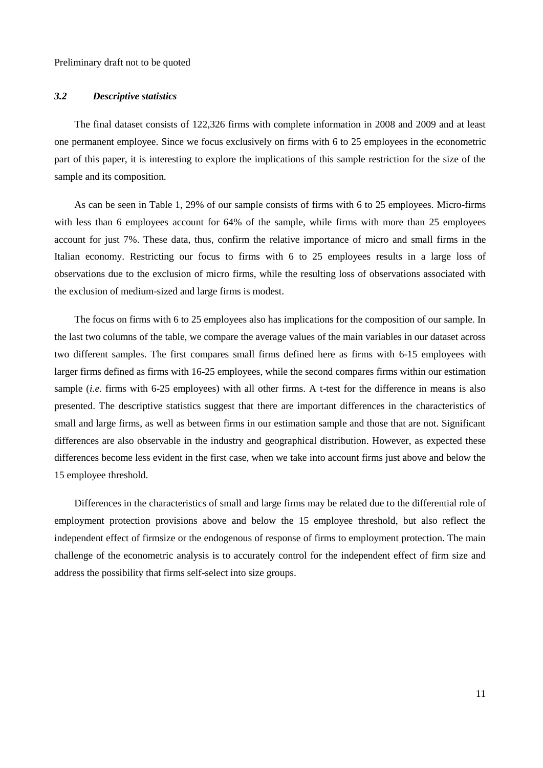## *3.2 Descriptive statistics*

The final dataset consists of 122,326 firms with complete information in 2008 and 2009 and at least one permanent employee. Since we focus exclusively on firms with 6 to 25 employees in the econometric part of this paper, it is interesting to explore the implications of this sample restriction for the size of the sample and its composition.

As can be seen in Table 1, 29% of our sample consists of firms with 6 to 25 employees. Micro-firms with less than 6 employees account for 64% of the sample, while firms with more than 25 employees account for just 7%. These data, thus, confirm the relative importance of micro and small firms in the Italian economy. Restricting our focus to firms with 6 to 25 employees results in a large loss of observations due to the exclusion of micro firms, while the resulting loss of observations associated with the exclusion of medium-sized and large firms is modest.

The focus on firms with 6 to 25 employees also has implications for the composition of our sample. In the last two columns of the table, we compare the average values of the main variables in our dataset across two different samples. The first compares small firms defined here as firms with 6-15 employees with larger firms defined as firms with 16-25 employees, while the second compares firms within our estimation sample *(i.e.* firms with 6-25 employees) with all other firms. A t-test for the difference in means is also presented. The descriptive statistics suggest that there are important differences in the characteristics of small and large firms, as well as between firms in our estimation sample and those that are not. Significant differences are also observable in the industry and geographical distribution. However, as expected these differences become less evident in the first case, when we take into account firms just above and below the 15 employee threshold.

Differences in the characteristics of small and large firms may be related due to the differential role of employment protection provisions above and below the 15 employee threshold, but also reflect the independent effect of firmsize or the endogenous of response of firms to employment protection. The main challenge of the econometric analysis is to accurately control for the independent effect of firm size and address the possibility that firms self-select into size groups.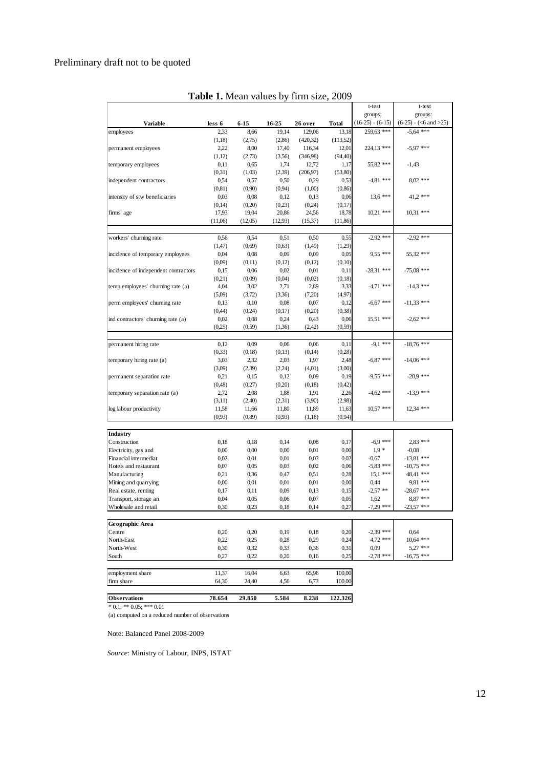|                                      |                |                |                 |                     |                   | t-test           | t-test                        |
|--------------------------------------|----------------|----------------|-----------------|---------------------|-------------------|------------------|-------------------------------|
|                                      |                |                |                 |                     |                   | groups:          | groups:                       |
| <b>Variable</b>                      | less 6         | $6 - 15$       | 16-25           | 26 over             | Total             | (16-25) - (6-15) | $(6-25) - (\leq 6$ and $>25)$ |
|                                      | 2,33           | 8,66           | 19,14           | 129,06              | 13,18             | 259,63 ***       | $-5.64$ ***                   |
| employees                            |                |                |                 |                     |                   |                  |                               |
| permanent employees                  | (1,18)<br>2,22 | (2,75)<br>8,00 | (2,86)<br>17,40 | (420, 32)<br>116,34 | (113,52)<br>12,01 | 224,13 ***       | $-5.97$ ***                   |
|                                      |                |                |                 |                     | (94, 40)          |                  |                               |
|                                      | (1,12)         | (2,73)         | (3,56)          | (346,98)            |                   |                  |                               |
| temporary employees                  | 0,11           | 0,65           | 1,74            | 12,72               | 1,17              | 55,82 ***        | $-1,43$                       |
|                                      | (0,31)         | (1,03)         | (2,39)          | (206, 97)           | (53,80)           |                  |                               |
| independent contractors              | 0,54           | 0,57           | 0,50            | 0,29                | 0,53              | $-4,81$ ***      | $8,02$ ***                    |
|                                      | (0, 81)        | (0,90)         | (0, 94)         | (1,00)              | (0, 86)           |                  |                               |
| intensity of stw beneficiaries       | 0,03           | 0,08           | 0,12            | 0,13                | 0,06              | $13,6$ ***       | 41,2 ***                      |
|                                      | (0,14)         | (0,20)         | (0,23)          | (0,24)              | (0,17)            |                  |                               |
| firms' age                           | 17,93          | 19,04          | 20,86           | 24,56               | 18,78             | $10,21$ ***      | $10.31$ ***                   |
|                                      | (11,06)        | (12,05)        | (12, 93)        | (15,37)             | (11,86)           |                  |                               |
|                                      |                |                |                 |                     |                   |                  |                               |
| workers' churning rate               | 0,56           | 0,54           | 0,51            | 0,50                | 0,55              | $-2.92$ ***      | $-2.92$ ***                   |
|                                      | (1,47)         | (0,69)         | (0,63)          | (1,49)              | (1,29)            |                  |                               |
| incidence of temporary employees     | 0,04           | 0,08           | 0,09            | 0,09                | 0,05              | $9.55***$        | 55,32 ***                     |
|                                      | (0,09)         | (0,11)         | (0,12)          | (0,12)              | (0,10)            |                  |                               |
| incidence of independent contractors | 0,15           | 0,06           | 0,02            | 0,01                | 0,11              | $-28,31$ ***     | $-75.08$ ***                  |
|                                      | (0,21)         | (0,09)         | (0,04)          | (0,02)              | (0,18)            |                  |                               |
| temp employees' churning rate (a)    | 4,04           | 3,02           | 2,71            | 2,89                | 3,33              | $-4,71$ ***      | $-14,3$ ***                   |
|                                      | (5,09)         | (3,72)         | (3,36)          | (7,20)              | (4,97)            |                  |                               |
| perm employees' churning rate        | 0,13           | 0,10           | 0,08            | 0,07                | 0,12              | $-6,67$ ***      | $-11,33$ ***                  |
|                                      | (0, 44)        | (0,24)         | (0,17)          | (0,20)              | (0, 38)           |                  |                               |
| ind contractors' churning rate (a)   | 0,02           | 0,08           | 0,24            | 0,43                | 0,06              | 15.51 ***        | $-2,62$ ***                   |
|                                      | (0,25)         | (0, 59)        | (1,36)          | (2,42)              | (0, 59)           |                  |                               |
|                                      |                |                |                 |                     |                   |                  |                               |
| permanent hiring rate                | 0,12           | 0,09           | 0,06            | 0,06                | 0,11              | $-9,1$ ***       | $-18,76$ ***                  |
|                                      | (0, 33)        | (0,18)         | (0,13)          | (0,14)              | (0, 28)           |                  |                               |
| temporary hiring rate (a)            | 3,03           | 2,32           | 2,03            | 1,97                | 2,48              | $-6.87$ ***      | $-14,06$ ***                  |
|                                      | (3,09)         | (2,39)         | (2,24)          | (4,01)              | (3,00)            |                  |                               |
| permanent separation rate            | 0,21           | 0,15           | 0,12            | 0,09                | 0,19              | $-9.55$ ***      | $-20.9$ ***                   |
|                                      | (0,48)         | (0,27)         | (0,20)          | (0,18)              | (0,42)            |                  |                               |
| temporary separation rate (a)        | 2,72           | 2,08           | 1,88            | 1,91                | 2,26              | $-4,62$ ***      | $-13.9$ ***                   |
|                                      | (3,11)         | (2,40)         | (2,31)          | (3,90)              | (2,98)            |                  |                               |
| log labour productivity              | 11,58          | 11,66          | 11,80           | 11,89               | 11,63             | $10,57$ ***      | 12,34 ***                     |
|                                      | (0,93)         | (0, 89)        | (0,93)          | (1,18)              | (0, 94)           |                  |                               |
|                                      |                |                |                 |                     |                   |                  |                               |
| <b>Industry</b>                      |                |                |                 |                     |                   |                  |                               |
| Construction                         | 0,18           | 0,18           | 0,14            | 0,08                | 0,17              | $-6.9$ ***       | 2,83 ***                      |
| Electricity, gas and                 | 0,00           | 0,00           | 0,00            | 0,01                | 0,00              | $1.9*$           | $-0,08$                       |
| Financial intermediat                | 0,02           | 0,01           | 0,01            | 0,03                | 0,02              | $-0,67$          | $-13.81$ ***                  |
| Hotels and restaurant                | 0,07           | 0,05           | 0,03            | 0,02                | 0,06              | $-5,83$ ***      | $-10,75$ ***                  |
| Manufacturing                        | 0,21           | 0,36           | 0,47            | 0,51                | 0,28              | $15,1$ ***       | 48,41 ***                     |
| Mining and quarrying                 | 0,00           | 0,01           | 0,01            | 0,01                | 0,00              | 0,44             | 9,81 ***                      |
| Real estate, renting                 | 0,17           | 0,11           | 0,09            | 0,13                | 0,15              | $-2,57$ **       | $-28,67$ ***                  |
| Transport, storage an                | 0,04           | 0,05           | 0,06            | 0,07                | 0,05              | 1,62             | 8,87 ***                      |
| Wholesale and retail                 | 0,30           | 0,23           | 0,18            | 0,14                | 0,27              | $-7.29$ ***      | $-23,57$ ***                  |
|                                      |                |                |                 |                     |                   |                  |                               |
| Geographic Area                      |                |                |                 |                     |                   |                  |                               |
| Centre                               | 0,20           | 0,20           | 0,19            | 0,18                | 0,20              | $-2.39$ ***      | 0,64                          |
| North-East                           | 0,22           | 0,25           | 0,28            | 0,29                | 0,24              | 4,72 ***         | $10,64$ ***                   |
| North-West                           | 0,30           | 0,32           | 0,33            | 0,36                | 0,31              | 0,09             | 5,27 ***                      |
| South                                | 0,27           | 0,22           | 0,20            | 0,16                | 0,25              | $-2.78$ ***      | $-16,75$ ***                  |
|                                      |                |                |                 |                     |                   |                  |                               |
| employment share                     | 11,37          | 16,04          | 6,63            | 65,96               | 100,00            |                  |                               |
| firm share                           | 64,30          | 24,40          | 4,56            | 6,73                | 100,00            |                  |                               |
|                                      |                |                |                 |                     |                   |                  |                               |
| <b>Observations</b>                  | 78.654         | 29.850         | 5.584           | 8.238               | 122.326           |                  |                               |
| $* 0.1$ ; ** 0.05; *** 0.01          |                |                |                 |                     |                   |                  |                               |
|                                      |                |                |                 |                     |                   |                  |                               |

**Table 1.** Mean values by firm size, 2009

(a) computed on a reduced number of observations

Note: Balanced Panel 2008-2009

*Source*: Ministry of Labour, INPS, ISTAT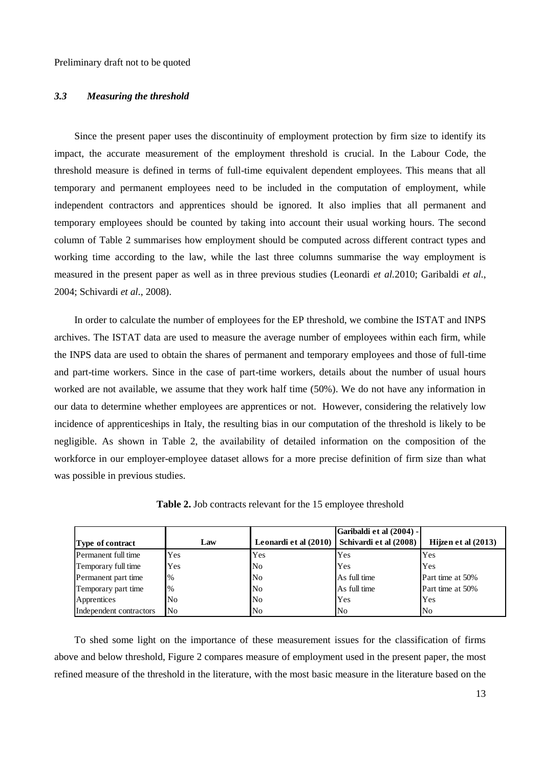## *3.3 Measuring the threshold*

Since the present paper uses the discontinuity of employment protection by firm size to identify its impact, the accurate measurement of the employment threshold is crucial. In the Labour Code, the threshold measure is defined in terms of full-time equivalent dependent employees. This means that all temporary and permanent employees need to be included in the computation of employment, while independent contractors and apprentices should be ignored. It also implies that all permanent and temporary employees should be counted by taking into account their usual working hours. The second column of Table 2 summarises how employment should be computed across different contract types and working time according to the law, while the last three columns summarise the way employment is measured in the present paper as well as in three previous studies (Leonardi *et al.*2010; Garibaldi *et al.*, 2004; Schivardi *et al.*, 2008).

In order to calculate the number of employees for the EP threshold, we combine the ISTAT and INPS archives. The ISTAT data are used to measure the average number of employees within each firm, while the INPS data are used to obtain the shares of permanent and temporary employees and those of full-time and part-time workers. Since in the case of part-time workers, details about the number of usual hours worked are not available, we assume that they work half time (50%). We do not have any information in our data to determine whether employees are apprentices or not. However, considering the relatively low incidence of apprenticeships in Italy, the resulting bias in our computation of the threshold is likely to be negligible. As shown in Table 2, the availability of detailed information on the composition of the workforce in our employer-employee dataset allows for a more precise definition of firm size than what was possible in previous studies.

|                         |                |                       | Garibaldi et al (2004) - |                     |
|-------------------------|----------------|-----------------------|--------------------------|---------------------|
| <b>Type of contract</b> | Law            | Leonardi et al (2010) | Schivardi et al (2008)   | Hijzen et al (2013) |
| Permanent full time     | Yes            | Yes                   | Yes                      | Yes                 |
| Temporary full time     | Yes            | N <sub>0</sub>        | Yes                      | Yes                 |
| Permanent part time     | $\%$           | N <sub>0</sub>        | As full time             | Part time at 50%    |
| Temporary part time     | $\frac{10}{6}$ | N <sub>0</sub>        | As full time             | Part time at 50%    |
| Apprentices             | N <sub>0</sub> | N <sub>0</sub>        | Yes                      | Yes                 |
| Independent contractors | N <sub>0</sub> | N <sub>0</sub>        | No                       | N <sub>o</sub>      |

**Table 2.** Job contracts relevant for the 15 employee threshold

To shed some light on the importance of these measurement issues for the classification of firms above and below threshold, Figure 2 compares measure of employment used in the present paper, the most refined measure of the threshold in the literature, with the most basic measure in the literature based on the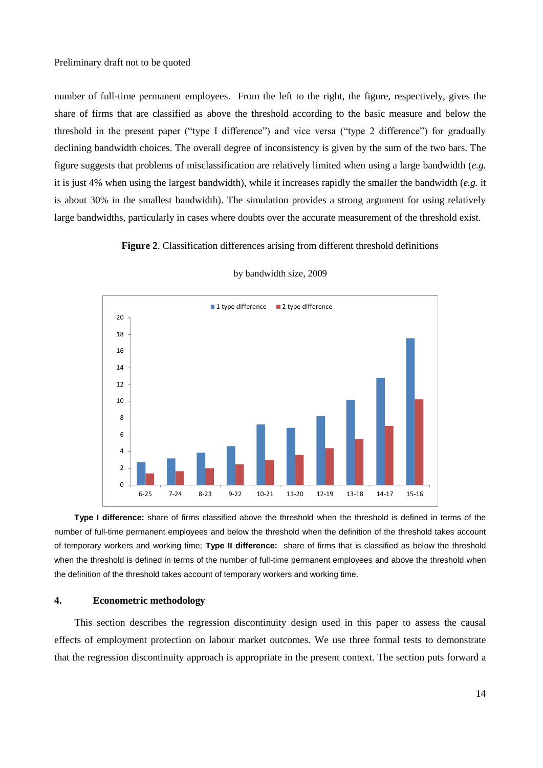number of full-time permanent employees. From the left to the right, the figure, respectively, gives the share of firms that are classified as above the threshold according to the basic measure and below the threshold in the present paper ("type I difference") and vice versa ("type 2 difference") for gradually declining bandwidth choices. The overall degree of inconsistency is given by the sum of the two bars. The figure suggests that problems of misclassification are relatively limited when using a large bandwidth (*e.g.* it is just 4% when using the largest bandwidth), while it increases rapidly the smaller the bandwidth (*e.g.* it is about 30% in the smallest bandwidth). The simulation provides a strong argument for using relatively large bandwidths, particularly in cases where doubts over the accurate measurement of the threshold exist.

### **Figure 2**. Classification differences arising from different threshold definitions



#### by bandwidth size, 2009

**Type I difference:** share of firms classified above the threshold when the threshold is defined in terms of the number of full-time permanent employees and below the threshold when the definition of the threshold takes account of temporary workers and working time; **Type II difference:** share of firms that is classified as below the threshold when the threshold is defined in terms of the number of full-time permanent employees and above the threshold when the definition of the threshold takes account of temporary workers and working time.

#### **4. Econometric methodology**

This section describes the regression discontinuity design used in this paper to assess the causal effects of employment protection on labour market outcomes. We use three formal tests to demonstrate that the regression discontinuity approach is appropriate in the present context. The section puts forward a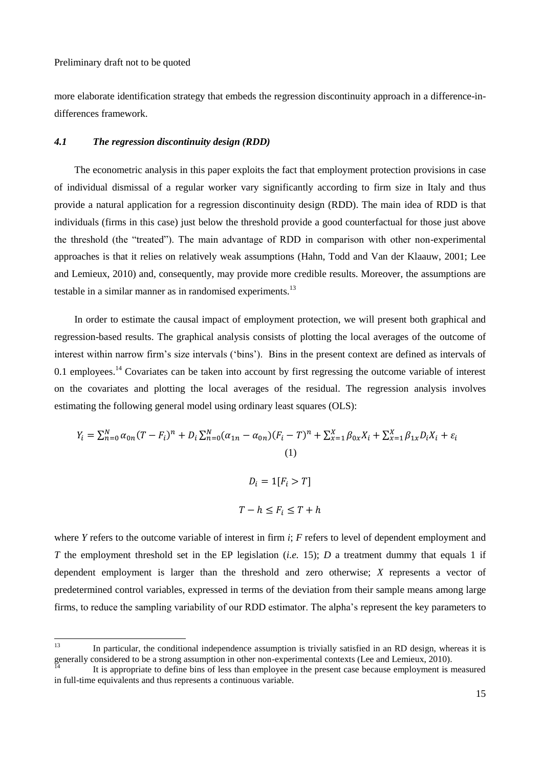more elaborate identification strategy that embeds the regression discontinuity approach in a difference-indifferences framework.

# *4.1 The regression discontinuity design (RDD)*

The econometric analysis in this paper exploits the fact that employment protection provisions in case of individual dismissal of a regular worker vary significantly according to firm size in Italy and thus provide a natural application for a regression discontinuity design (RDD). The main idea of RDD is that individuals (firms in this case) just below the threshold provide a good counterfactual for those just above the threshold (the "treated"). The main advantage of RDD in comparison with other non-experimental approaches is that it relies on relatively weak assumptions (Hahn, Todd and Van der Klaauw, 2001; Lee and Lemieux, 2010) and, consequently, may provide more credible results. Moreover, the assumptions are testable in a similar manner as in randomised experiments. $^{13}$ 

In order to estimate the causal impact of employment protection, we will present both graphical and regression-based results. The graphical analysis consists of plotting the local averages of the outcome of interest within narrow firm"s size intervals ("bins"). Bins in the present context are defined as intervals of 0.1 employees.<sup>14</sup> Covariates can be taken into account by first regressing the outcome variable of interest on the covariates and plotting the local averages of the residual. The regression analysis involves estimating the following general model using ordinary least squares (OLS):

$$
Y_i = \sum_{n=0}^{N} \alpha_{0n} (T - F_i)^n + D_i \sum_{n=0}^{N} (\alpha_{1n} - \alpha_{0n}) (F_i - T)^n + \sum_{x=1}^{X} \beta_{0x} X_i + \sum_{x=1}^{X} \beta_{1x} D_i X_i + \varepsilon_i
$$
  
(1)  

$$
D_i = 1[F_i > T]
$$
  

$$
T - h \le F_i \le T + h
$$

where *Y* refers to the outcome variable of interest in firm *i*; *F* refers to level of dependent employment and *T* the employment threshold set in the EP legislation (*i.e.* 15); *D* a treatment dummy that equals 1 if dependent employment is larger than the threshold and zero otherwise; *X* represents a vector of predetermined control variables, expressed in terms of the deviation from their sample means among large firms, to reduce the sampling variability of our RDD estimator. The alpha"s represent the key parameters to

 $13$ In particular, the conditional independence assumption is trivially satisfied in an RD design, whereas it is generally considered to be a strong assumption in other non-experimental contexts (Lee and Lemieux, 2010).

<sup>14</sup> It is appropriate to define bins of less than employee in the present case because employment is measured in full-time equivalents and thus represents a continuous variable.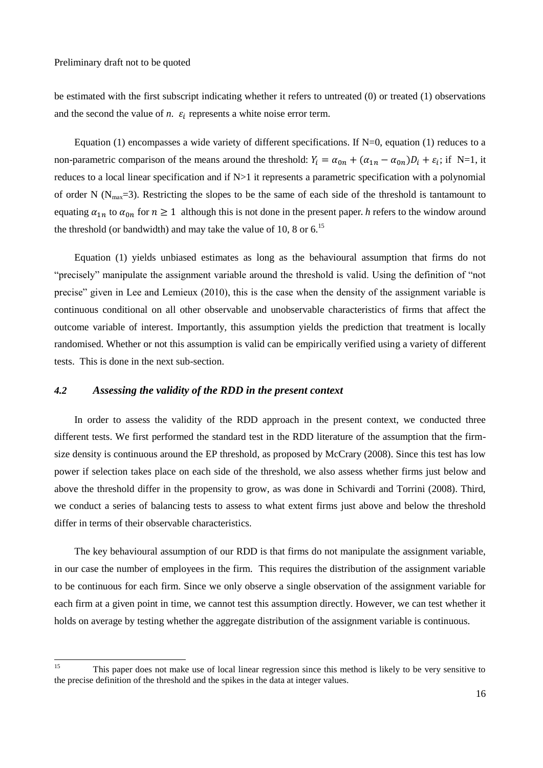be estimated with the first subscript indicating whether it refers to untreated (0) or treated (1) observations and the second the value of  $n$ .  $\varepsilon_i$  represents a white noise error term.

Equation (1) encompasses a wide variety of different specifications. If N=0, equation (1) reduces to a non-parametric comparison of the means around the threshold:  $Y_i = \alpha_{0n} + (\alpha_{1n} - \alpha_{0n})D_i + \varepsilon_i$ ; if N=1, it reduces to a local linear specification and if  $N>1$  it represents a parametric specification with a polynomial of order N ( $N_{\text{max}}$ =3). Restricting the slopes to be the same of each side of the threshold is tantamount to equating  $\alpha_{1n}$  to  $\alpha_{0n}$  for  $n \ge 1$  although this is not done in the present paper. *h* refers to the window around the threshold (or bandwidth) and may take the value of 10, 8 or  $6<sup>15</sup>$ 

Equation (1) yields unbiased estimates as long as the behavioural assumption that firms do not "precisely" manipulate the assignment variable around the threshold is valid. Using the definition of "not precise" given in Lee and Lemieux (2010), this is the case when the density of the assignment variable is continuous conditional on all other observable and unobservable characteristics of firms that affect the outcome variable of interest. Importantly, this assumption yields the prediction that treatment is locally randomised. Whether or not this assumption is valid can be empirically verified using a variety of different tests. This is done in the next sub-section.

### *4.2 Assessing the validity of the RDD in the present context*

In order to assess the validity of the RDD approach in the present context, we conducted three different tests. We first performed the standard test in the RDD literature of the assumption that the firmsize density is continuous around the EP threshold, as proposed by McCrary (2008). Since this test has low power if selection takes place on each side of the threshold, we also assess whether firms just below and above the threshold differ in the propensity to grow, as was done in Schivardi and Torrini (2008). Third, we conduct a series of balancing tests to assess to what extent firms just above and below the threshold differ in terms of their observable characteristics.

The key behavioural assumption of our RDD is that firms do not manipulate the assignment variable, in our case the number of employees in the firm. This requires the distribution of the assignment variable to be continuous for each firm. Since we only observe a single observation of the assignment variable for each firm at a given point in time, we cannot test this assumption directly. However, we can test whether it holds on average by testing whether the aggregate distribution of the assignment variable is continuous.

 $15$ <sup>15</sup> This paper does not make use of local linear regression since this method is likely to be very sensitive to the precise definition of the threshold and the spikes in the data at integer values.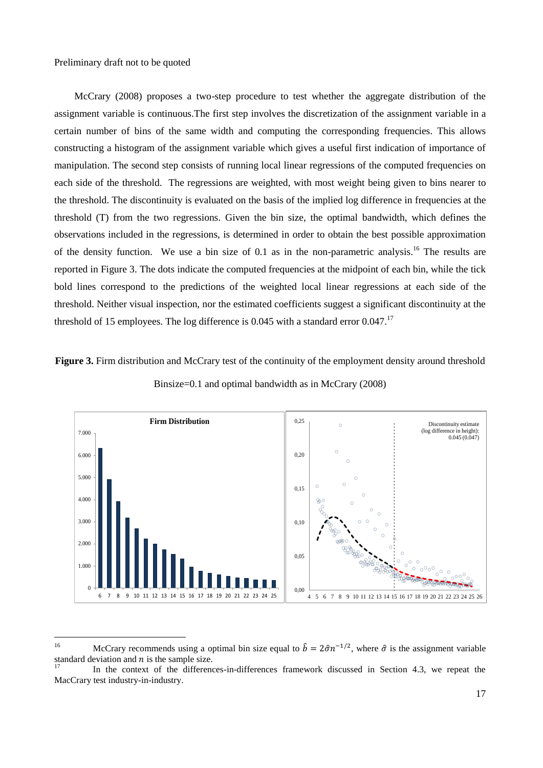McCrary (2008) proposes a two-step procedure to test whether the aggregate distribution of the assignment variable is continuous.The first step involves the discretization of the assignment variable in a certain number of bins of the same width and computing the corresponding frequencies. This allows constructing a histogram of the assignment variable which gives a useful first indication of importance of manipulation. The second step consists of running local linear regressions of the computed frequencies on each side of the threshold. The regressions are weighted, with most weight being given to bins nearer to the threshold. The discontinuity is evaluated on the basis of the implied log difference in frequencies at the threshold (T) from the two regressions. Given the bin size, the optimal bandwidth, which defines the observations included in the regressions, is determined in order to obtain the best possible approximation of the density function. We use a bin size of 0.1 as in the non-parametric analysis.<sup>16</sup> The results are reported in Figure 3. The dots indicate the computed frequencies at the midpoint of each bin, while the tick bold lines correspond to the predictions of the weighted local linear regressions at each side of the threshold. Neither visual inspection, nor the estimated coefficients suggest a significant discontinuity at the threshold of 15 employees. The log difference is 0.045 with a standard error  $0.047$ .<sup>17</sup>

**Figure 3.** Firm distribution and McCrary test of the continuity of the employment density around threshold



Binsize=0.1 and optimal bandwidth as in McCrary (2008)

 $16$ <sup>16</sup> McCrary recommends using a optimal bin size equal to  $\hat{b} = 2\hat{\sigma}n^{-1/2}$ , where  $\hat{\sigma}$  is the assignment variable standard deviation and  $n$  is the sample size.

In the context of the differences-in-differences framework discussed in Section 4.3, we repeat the MacCrary test industry-in-industry.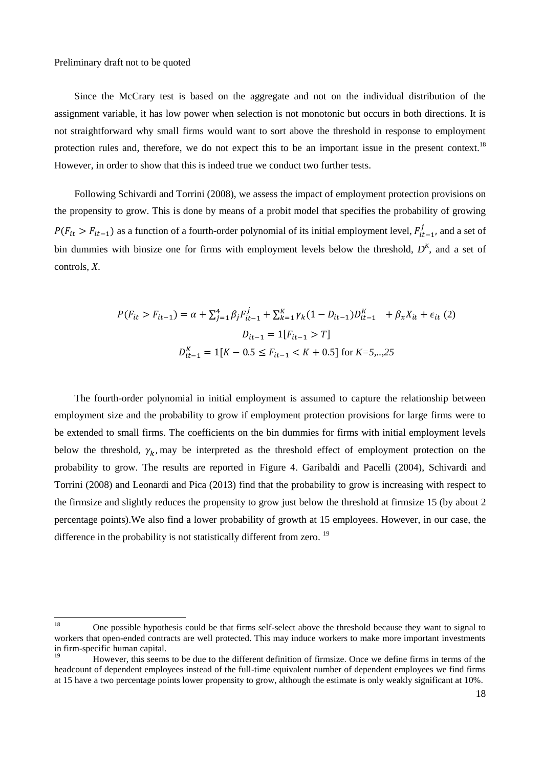Since the McCrary test is based on the aggregate and not on the individual distribution of the assignment variable, it has low power when selection is not monotonic but occurs in both directions. It is not straightforward why small firms would want to sort above the threshold in response to employment protection rules and, therefore, we do not expect this to be an important issue in the present context.<sup>18</sup> However, in order to show that this is indeed true we conduct two further tests.

Following Schivardi and Torrini (2008), we assess the impact of employment protection provisions on the propensity to grow. This is done by means of a probit model that specifies the probability of growing  $P(F_{it} > F_{it-1})$  as a function of a fourth-order polynomial of its initial employment level,  $F_{it-1}^j$ , and a set of bin dummies with binsize one for firms with employment levels below the threshold,  $D<sup>K</sup>$ , and a set of controls, *X*.

$$
P(F_{it} > F_{it-1}) = \alpha + \sum_{j=1}^{4} \beta_j F_{it-1}^j + \sum_{k=1}^{K} \gamma_k (1 - D_{it-1}) D_{it-1}^K + \beta_x X_{it} + \epsilon_{it} (2)
$$
  

$$
D_{it-1} = 1[F_{it-1} > T]
$$
  

$$
D_{it-1}^K = 1[K - 0.5 \le F_{it-1} < K + 0.5] \text{ for } K = 5,..,25
$$

The fourth-order polynomial in initial employment is assumed to capture the relationship between employment size and the probability to grow if employment protection provisions for large firms were to be extended to small firms. The coefficients on the bin dummies for firms with initial employment levels below the threshold,  $\gamma_k$ , may be interpreted as the threshold effect of employment protection on the probability to grow. The results are reported in Figure 4. Garibaldi and Pacelli (2004), Schivardi and Torrini (2008) and Leonardi and Pica (2013) find that the probability to grow is increasing with respect to the firmsize and slightly reduces the propensity to grow just below the threshold at firmsize 15 (by about 2 percentage points).We also find a lower probability of growth at 15 employees. However, in our case, the difference in the probability is not statistically different from zero.<sup>19</sup>

<sup>18</sup> <sup>18</sup> One possible hypothesis could be that firms self-select above the threshold because they want to signal to workers that open-ended contracts are well protected. This may induce workers to make more important investments in firm-specific human capital.

<sup>19</sup> However, this seems to be due to the different definition of firmsize. Once we define firms in terms of the headcount of dependent employees instead of the full-time equivalent number of dependent employees we find firms at 15 have a two percentage points lower propensity to grow, although the estimate is only weakly significant at 10%.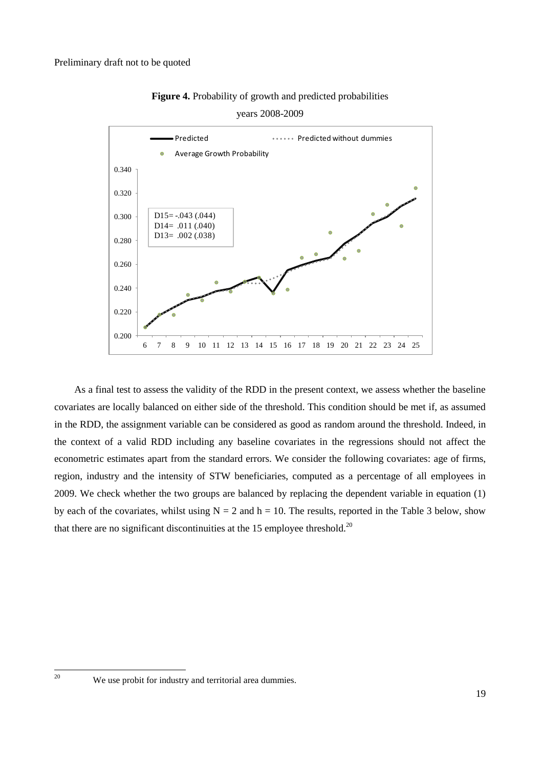

**Figure 4.** Probability of growth and predicted probabilities years 2008-2009

As a final test to assess the validity of the RDD in the present context, we assess whether the baseline covariates are locally balanced on either side of the threshold. This condition should be met if, as assumed in the RDD, the assignment variable can be considered as good as random around the threshold. Indeed, in the context of a valid RDD including any baseline covariates in the regressions should not affect the econometric estimates apart from the standard errors. We consider the following covariates: age of firms, region, industry and the intensity of STW beneficiaries, computed as a percentage of all employees in 2009. We check whether the two groups are balanced by replacing the dependent variable in equation (1) by each of the covariates, whilst using  $N = 2$  and  $h = 10$ . The results, reported in the Table 3 below, show that there are no significant discontinuities at the 15 employee threshold.<sup>20</sup>

 $20$ 

We use probit for industry and territorial area dummies.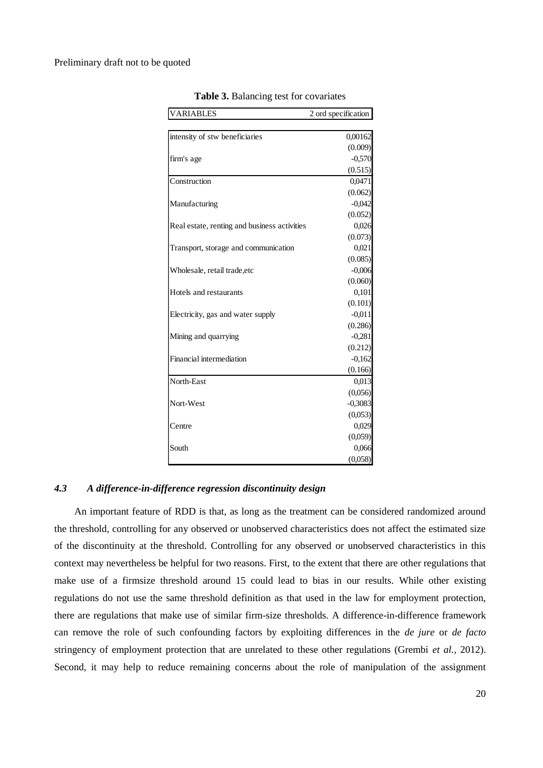| <b>VARIABLES</b>                             | 2 ord specification |
|----------------------------------------------|---------------------|
|                                              |                     |
| intensity of stw beneficiaries               | 0,00162             |
|                                              | (0.009)             |
| firm's age                                   | $-0,570$            |
|                                              | (0.515)             |
| Construction                                 | 0,0471              |
|                                              | (0.062)             |
| Manufacturing                                | $-0,042$            |
|                                              | (0.052)             |
| Real estate, renting and business activities | 0,026               |
|                                              | (0.073)             |
| Transport, storage and communication         | 0,021               |
|                                              | (0.085)             |
| Wholesale, retail trade, etc                 | $-0,006$            |
|                                              | (0.060)             |
| Hotels and restaurants                       | 0,101               |
|                                              | (0.101)             |
| Electricity, gas and water supply            | $-0,011$            |
|                                              | (0.286)             |
| Mining and quarrying                         | $-0,281$            |
|                                              | (0.212)             |
| Financial intermediation                     | $-0,162$            |
|                                              | (0.166)             |
| North-East                                   | 0,013               |
|                                              | (0,056)             |
| Nort-West                                    | $-0,3083$           |
|                                              | (0,053)             |
| Centre                                       | 0,029               |
|                                              | (0,059)             |
| South                                        | 0,066               |
|                                              | (0,058)             |

**Table 3.** Balancing test for covariates

# *4.3 A difference-in-difference regression discontinuity design*

An important feature of RDD is that, as long as the treatment can be considered randomized around the threshold, controlling for any observed or unobserved characteristics does not affect the estimated size of the discontinuity at the threshold. Controlling for any observed or unobserved characteristics in this context may nevertheless be helpful for two reasons. First, to the extent that there are other regulations that make use of a firmsize threshold around 15 could lead to bias in our results. While other existing regulations do not use the same threshold definition as that used in the law for employment protection, there are regulations that make use of similar firm-size thresholds. A difference-in-difference framework can remove the role of such confounding factors by exploiting differences in the *de jure* or *de facto* stringency of employment protection that are unrelated to these other regulations (Grembi *et al.,* 2012). Second, it may help to reduce remaining concerns about the role of manipulation of the assignment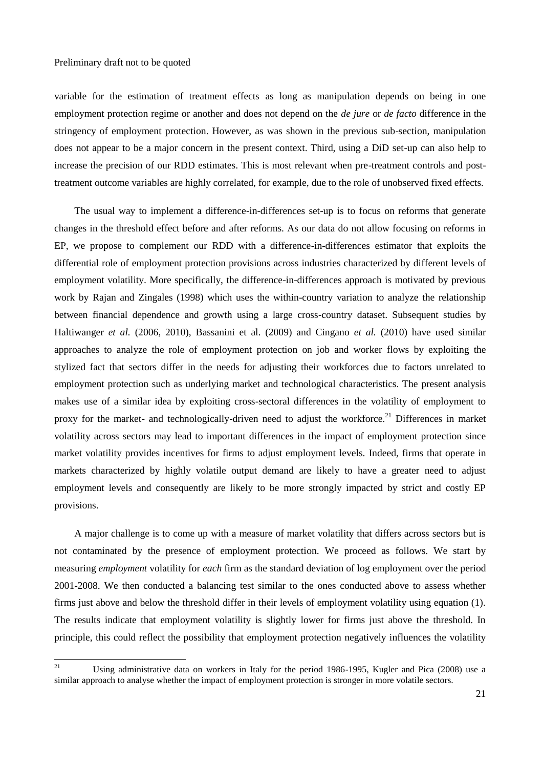variable for the estimation of treatment effects as long as manipulation depends on being in one employment protection regime or another and does not depend on the *de jure* or *de facto* difference in the stringency of employment protection. However, as was shown in the previous sub-section, manipulation does not appear to be a major concern in the present context. Third, using a DiD set-up can also help to increase the precision of our RDD estimates. This is most relevant when pre-treatment controls and posttreatment outcome variables are highly correlated, for example, due to the role of unobserved fixed effects.

The usual way to implement a difference-in-differences set-up is to focus on reforms that generate changes in the threshold effect before and after reforms. As our data do not allow focusing on reforms in EP, we propose to complement our RDD with a difference-in-differences estimator that exploits the differential role of employment protection provisions across industries characterized by different levels of employment volatility. More specifically, the difference-in-differences approach is motivated by previous work by Rajan and Zingales (1998) which uses the within-country variation to analyze the relationship between financial dependence and growth using a large cross-country dataset. Subsequent studies by Haltiwanger *et al.* (2006, 2010), Bassanini et al. (2009) and Cingano *et al.* (2010) have used similar approaches to analyze the role of employment protection on job and worker flows by exploiting the stylized fact that sectors differ in the needs for adjusting their workforces due to factors unrelated to employment protection such as underlying market and technological characteristics. The present analysis makes use of a similar idea by exploiting cross-sectoral differences in the volatility of employment to proxy for the market- and technologically-driven need to adjust the workforce.<sup>21</sup> Differences in market volatility across sectors may lead to important differences in the impact of employment protection since market volatility provides incentives for firms to adjust employment levels. Indeed, firms that operate in markets characterized by highly volatile output demand are likely to have a greater need to adjust employment levels and consequently are likely to be more strongly impacted by strict and costly EP provisions.

A major challenge is to come up with a measure of market volatility that differs across sectors but is not contaminated by the presence of employment protection. We proceed as follows. We start by measuring *employment* volatility for *each* firm as the standard deviation of log employment over the period 2001-2008. We then conducted a balancing test similar to the ones conducted above to assess whether firms just above and below the threshold differ in their levels of employment volatility using equation (1). The results indicate that employment volatility is slightly lower for firms just above the threshold. In principle, this could reflect the possibility that employment protection negatively influences the volatility

 $21$ <sup>21</sup> Using administrative data on workers in Italy for the period 1986-1995, Kugler and Pica (2008) use a similar approach to analyse whether the impact of employment protection is stronger in more volatile sectors.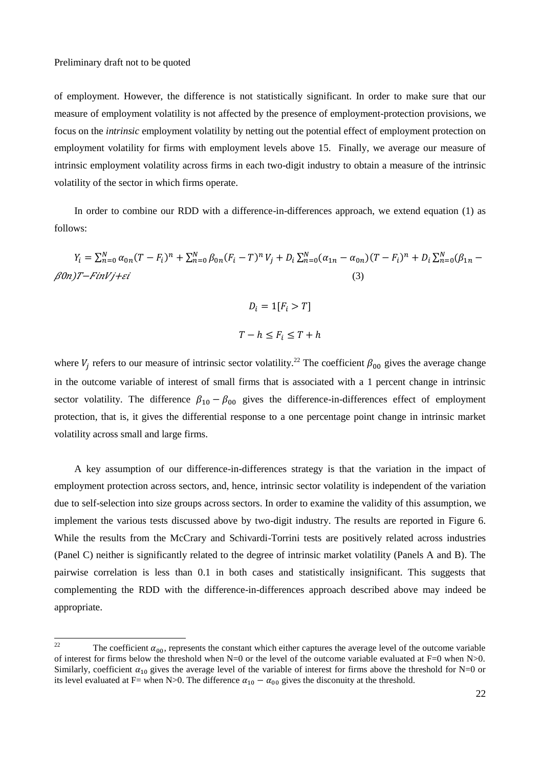of employment. However, the difference is not statistically significant. In order to make sure that our measure of employment volatility is not affected by the presence of employment-protection provisions, we focus on the *intrinsic* employment volatility by netting out the potential effect of employment protection on employment volatility for firms with employment levels above 15. Finally, we average our measure of intrinsic employment volatility across firms in each two-digit industry to obtain a measure of the intrinsic volatility of the sector in which firms operate.

In order to combine our RDD with a difference-in-differences approach, we extend equation (1) as follows:

$$
Y_i = \sum_{n=0}^{N} \alpha_{0n} (T - F_i)^n + \sum_{n=0}^{N} \beta_{0n} (F_i - T)^n V_j + D_i \sum_{n=0}^{N} (\alpha_{1n} - \alpha_{0n}) (T - F_i)^n + D_i \sum_{n=0}^{N} (\beta_{1n} - \beta_{0n}) (T - F_i)^n + D_i \sum_{n=0}^{N} (\beta_{1n} - \beta_{0n}) (T - F_i)^n
$$
\n(3)

$$
D_i = 1[F_i > T]
$$

$$
T - h \le F_i \le T + h
$$

where  $V_i$  refers to our measure of intrinsic sector volatility.<sup>22</sup> The coefficient  $\beta_{00}$  gives the average change in the outcome variable of interest of small firms that is associated with a 1 percent change in intrinsic sector volatility. The difference  $\beta_{10} - \beta_{00}$  gives the difference-in-differences effect of employment protection, that is, it gives the differential response to a one percentage point change in intrinsic market volatility across small and large firms.

A key assumption of our difference-in-differences strategy is that the variation in the impact of employment protection across sectors, and, hence, intrinsic sector volatility is independent of the variation due to self-selection into size groups across sectors. In order to examine the validity of this assumption, we implement the various tests discussed above by two-digit industry. The results are reported in Figure 6. While the results from the McCrary and Schivardi-Torrini tests are positively related across industries (Panel C) neither is significantly related to the degree of intrinsic market volatility (Panels A and B). The pairwise correlation is less than 0.1 in both cases and statistically insignificant. This suggests that complementing the RDD with the difference-in-differences approach described above may indeed be appropriate.

 $22$ The coefficient  $\alpha_{00}$ , represents the constant which either captures the average level of the outcome variable of interest for firms below the threshold when  $N=0$  or the level of the outcome variable evaluated at  $F=0$  when  $N>0$ . Similarly, coefficient  $\alpha_{10}$  gives the average level of the variable of interest for firms above the threshold for N=0 or its level evaluated at F= when N>0. The difference  $\alpha_{10} - \alpha_{00}$  gives the disconuity at the threshold.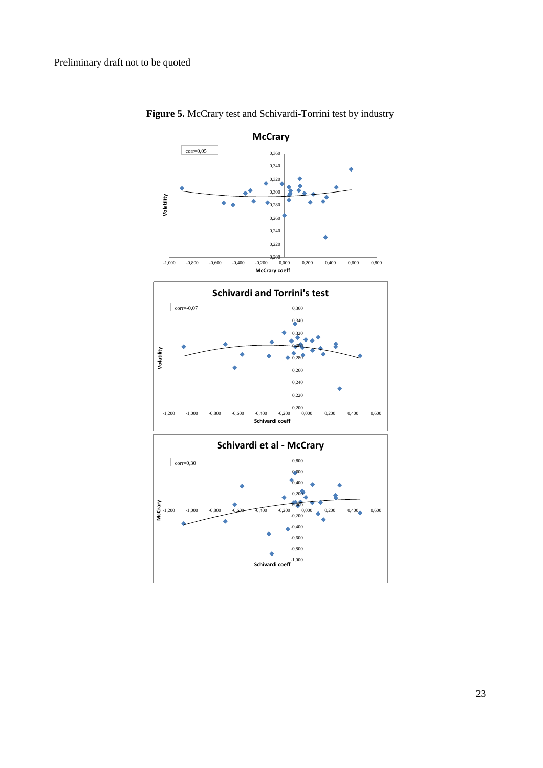

**Figure 5.** McCrary test and Schivardi-Torrini test by industry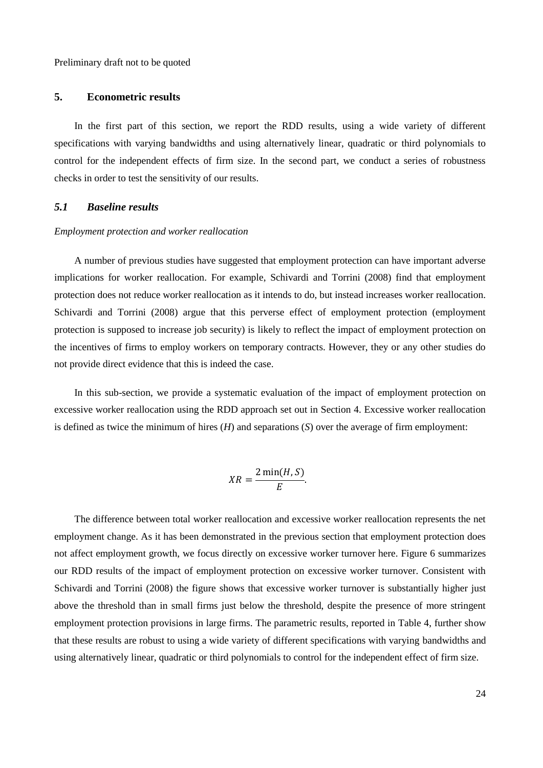# **5. Econometric results**

In the first part of this section, we report the RDD results, using a wide variety of different specifications with varying bandwidths and using alternatively linear, quadratic or third polynomials to control for the independent effects of firm size. In the second part, we conduct a series of robustness checks in order to test the sensitivity of our results.

# *5.1 Baseline results*

### *Employment protection and worker reallocation*

A number of previous studies have suggested that employment protection can have important adverse implications for worker reallocation. For example, Schivardi and Torrini (2008) find that employment protection does not reduce worker reallocation as it intends to do, but instead increases worker reallocation. Schivardi and Torrini (2008) argue that this perverse effect of employment protection (employment protection is supposed to increase job security) is likely to reflect the impact of employment protection on the incentives of firms to employ workers on temporary contracts. However, they or any other studies do not provide direct evidence that this is indeed the case.

In this sub-section, we provide a systematic evaluation of the impact of employment protection on excessive worker reallocation using the RDD approach set out in Section 4. Excessive worker reallocation is defined as twice the minimum of hires (*H*) and separations (*S*) over the average of firm employment:

$$
XR = \frac{2 \min(H, S)}{E}.
$$

The difference between total worker reallocation and excessive worker reallocation represents the net employment change. As it has been demonstrated in the previous section that employment protection does not affect employment growth, we focus directly on excessive worker turnover here. Figure 6 summarizes our RDD results of the impact of employment protection on excessive worker turnover. Consistent with Schivardi and Torrini (2008) the figure shows that excessive worker turnover is substantially higher just above the threshold than in small firms just below the threshold, despite the presence of more stringent employment protection provisions in large firms. The parametric results, reported in Table 4, further show that these results are robust to using a wide variety of different specifications with varying bandwidths and using alternatively linear, quadratic or third polynomials to control for the independent effect of firm size.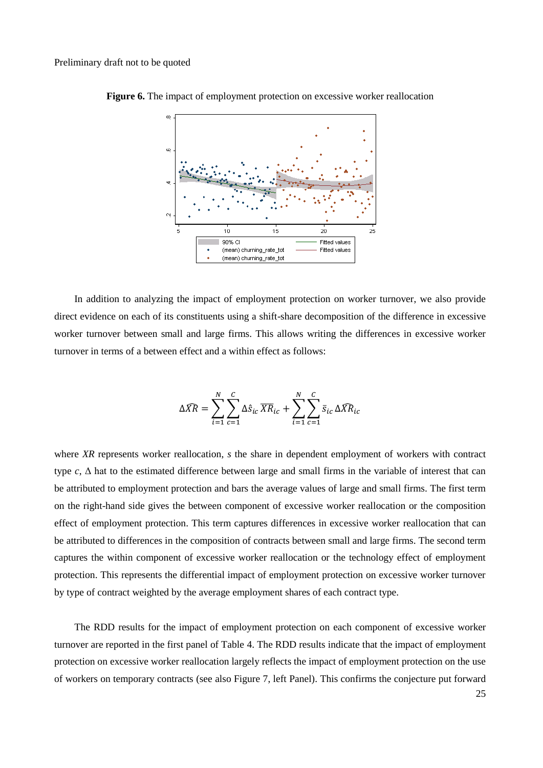

**Figure 6.** The impact of employment protection on excessive worker reallocation

In addition to analyzing the impact of employment protection on worker turnover, we also provide direct evidence on each of its constituents using a shift-share decomposition of the difference in excessive worker turnover between small and large firms. This allows writing the differences in excessive worker turnover in terms of a between effect and a within effect as follows:

$$
\Delta \widehat{XR} = \sum_{i=1}^N \sum_{c=1}^C \Delta \hat{s}_{ic} \, \overline{XR}_{ic} + \sum_{i=1}^N \sum_{c=1}^C \bar{s}_{ic} \, \Delta \widehat{XR}_{ic}
$$

where *XR* represents worker reallocation, *s* the share in dependent employment of workers with contract type *c*, Δ hat to the estimated difference between large and small firms in the variable of interest that can be attributed to employment protection and bars the average values of large and small firms. The first term on the right-hand side gives the between component of excessive worker reallocation or the composition effect of employment protection. This term captures differences in excessive worker reallocation that can be attributed to differences in the composition of contracts between small and large firms. The second term captures the within component of excessive worker reallocation or the technology effect of employment protection. This represents the differential impact of employment protection on excessive worker turnover by type of contract weighted by the average employment shares of each contract type.

The RDD results for the impact of employment protection on each component of excessive worker turnover are reported in the first panel of Table 4. The RDD results indicate that the impact of employment protection on excessive worker reallocation largely reflects the impact of employment protection on the use of workers on temporary contracts (see also Figure 7, left Panel). This confirms the conjecture put forward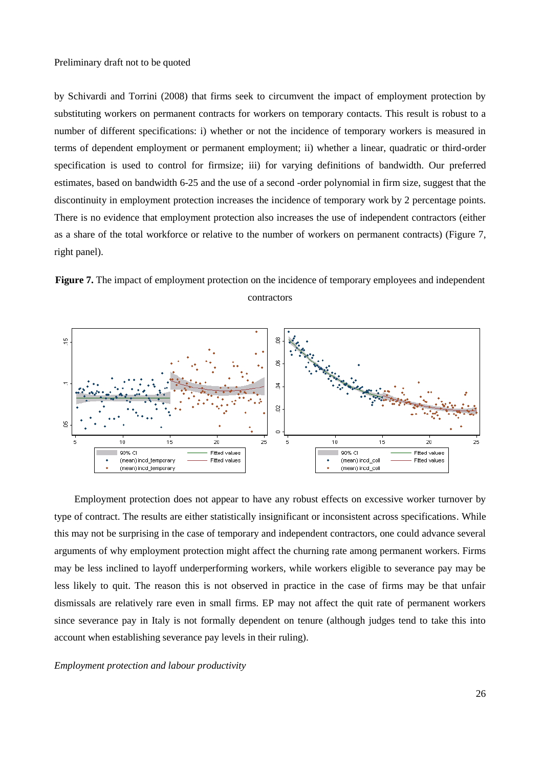by Schivardi and Torrini (2008) that firms seek to circumvent the impact of employment protection by substituting workers on permanent contracts for workers on temporary contacts. This result is robust to a number of different specifications: i) whether or not the incidence of temporary workers is measured in terms of dependent employment or permanent employment; ii) whether a linear, quadratic or third-order specification is used to control for firmsize; iii) for varying definitions of bandwidth. Our preferred estimates, based on bandwidth 6-25 and the use of a second -order polynomial in firm size, suggest that the discontinuity in employment protection increases the incidence of temporary work by 2 percentage points. There is no evidence that employment protection also increases the use of independent contractors (either as a share of the total workforce or relative to the number of workers on permanent contracts) (Figure 7, right panel).





Employment protection does not appear to have any robust effects on excessive worker turnover by type of contract. The results are either statistically insignificant or inconsistent across specifications. While this may not be surprising in the case of temporary and independent contractors, one could advance several arguments of why employment protection might affect the churning rate among permanent workers. Firms may be less inclined to layoff underperforming workers, while workers eligible to severance pay may be less likely to quit. The reason this is not observed in practice in the case of firms may be that unfair dismissals are relatively rare even in small firms. EP may not affect the quit rate of permanent workers since severance pay in Italy is not formally dependent on tenure (although judges tend to take this into account when establishing severance pay levels in their ruling).

### *Employment protection and labour productivity*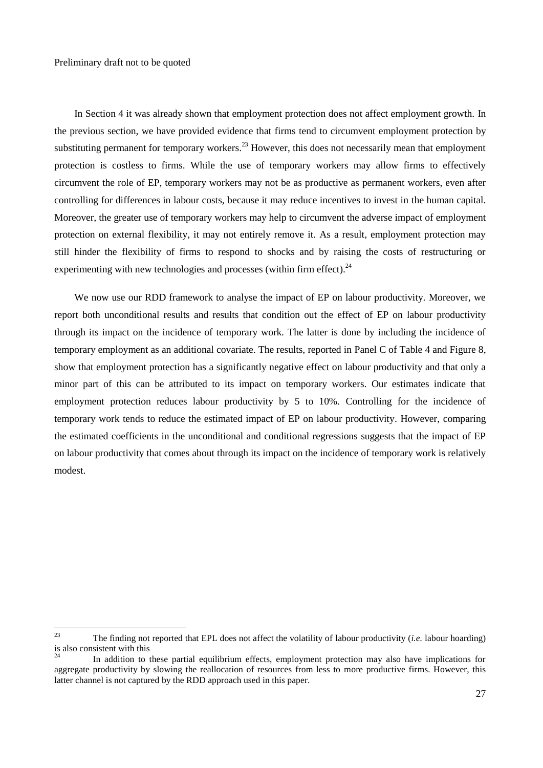In Section 4 it was already shown that employment protection does not affect employment growth. In the previous section, we have provided evidence that firms tend to circumvent employment protection by substituting permanent for temporary workers.<sup>23</sup> However, this does not necessarily mean that employment protection is costless to firms. While the use of temporary workers may allow firms to effectively circumvent the role of EP, temporary workers may not be as productive as permanent workers, even after controlling for differences in labour costs, because it may reduce incentives to invest in the human capital. Moreover, the greater use of temporary workers may help to circumvent the adverse impact of employment protection on external flexibility, it may not entirely remove it. As a result, employment protection may still hinder the flexibility of firms to respond to shocks and by raising the costs of restructuring or experimenting with new technologies and processes (within firm effect).<sup>24</sup>

We now use our RDD framework to analyse the impact of EP on labour productivity. Moreover, we report both unconditional results and results that condition out the effect of EP on labour productivity through its impact on the incidence of temporary work. The latter is done by including the incidence of temporary employment as an additional covariate. The results, reported in Panel C of Table 4 and Figure 8, show that employment protection has a significantly negative effect on labour productivity and that only a minor part of this can be attributed to its impact on temporary workers. Our estimates indicate that employment protection reduces labour productivity by 5 to 10%. Controlling for the incidence of temporary work tends to reduce the estimated impact of EP on labour productivity. However, comparing the estimated coefficients in the unconditional and conditional regressions suggests that the impact of EP on labour productivity that comes about through its impact on the incidence of temporary work is relatively modest.

 $2<sub>3</sub>$ <sup>23</sup> The finding not reported that EPL does not affect the volatility of labour productivity (*i.e.* labour hoarding) is also consistent with this  $\frac{1}{24}$ 

In addition to these partial equilibrium effects, employment protection may also have implications for aggregate productivity by slowing the reallocation of resources from less to more productive firms. However, this latter channel is not captured by the RDD approach used in this paper.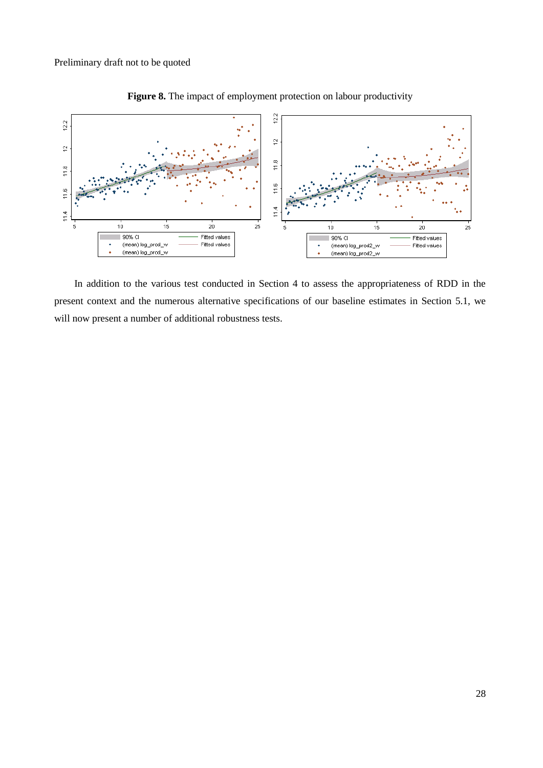

**Figure 8.** The impact of employment protection on labour productivity

In addition to the various test conducted in Section 4 to assess the appropriateness of RDD in the present context and the numerous alternative specifications of our baseline estimates in Section 5.1, we will now present a number of additional robustness tests.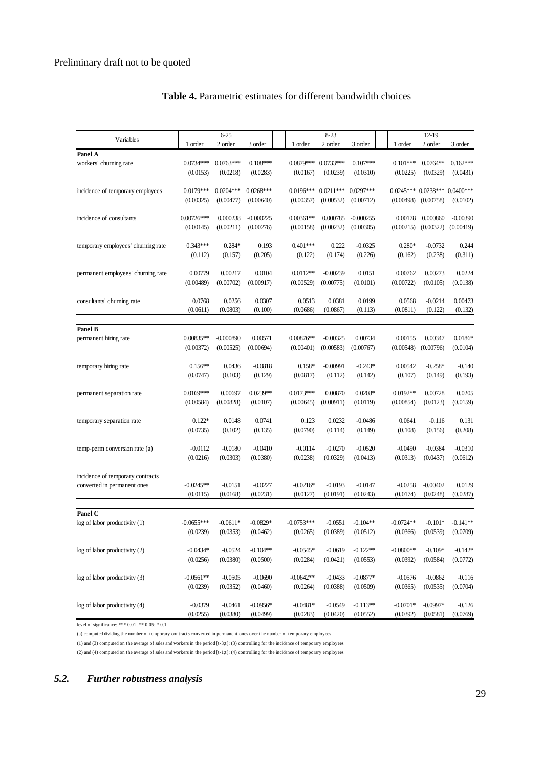| Variables                          |              | $6 - 25$    |             |              | $8 - 23$    |             |             | $12-19$                             |            |
|------------------------------------|--------------|-------------|-------------|--------------|-------------|-------------|-------------|-------------------------------------|------------|
|                                    | 1 order      | 2 order     | 3 order     | 1 order      | 2 order     | 3 order     | 1 order     | 2 order                             | 3 order    |
| Panel A                            |              |             |             |              |             |             |             |                                     |            |
| workers' churning rate             | $0.0734***$  | $0.0763***$ | $0.108***$  | $0.0879***$  | $0.0733***$ | $0.107***$  | $0.101***$  | $0.0764**$                          | $0.162***$ |
|                                    | (0.0153)     | (0.0218)    | (0.0283)    | (0.0167)     | (0.0239)    | (0.0310)    | (0.0225)    | (0.0329)                            | (0.0431)   |
|                                    |              |             |             |              |             |             |             |                                     |            |
| incidence of temporary employees   | $0.0179***$  | $0.0204***$ | $0.0268***$ | $0.0196***$  | $0.0211***$ | $0.0297***$ |             | $0.0245***$ $0.0238***$ $0.0400***$ |            |
|                                    | (0.00325)    | (0.00477)   | (0.00640)   | (0.00357)    | (0.00532)   | (0.00712)   | (0.00498)   | (0.00758)                           | (0.0102)   |
|                                    |              |             |             |              |             |             |             |                                     |            |
| incidence of consultants           | $0.00726***$ | 0.000238    | $-0.000225$ | $0.00361**$  | 0.000785    | $-0.000255$ | 0.00178     | 0.000860                            | $-0.00390$ |
|                                    | (0.00145)    | (0.00211)   | (0.00276)   | (0.00158)    | (0.00232)   | (0.00305)   | (0.00215)   | (0.00322)                           | (0.00419)  |
|                                    |              |             |             |              |             |             |             |                                     |            |
| temporary employees' churning rate | $0.343***$   | $0.284*$    | 0.193       | $0.401***$   | 0.222       | $-0.0325$   | $0.280*$    | $-0.0732$                           | 0.244      |
|                                    | (0.112)      | (0.157)     | (0.205)     | (0.122)      | (0.174)     | (0.226)     | (0.162)     | (0.238)                             | (0.311)    |
|                                    |              |             |             |              |             |             |             |                                     |            |
| permanent employees' churning rate | 0.00779      | 0.00217     | 0.0104      | $0.0112**$   | $-0.00239$  | 0.0151      | 0.00762     | 0.00273                             | 0.0224     |
|                                    | (0.00489)    | (0.00702)   | (0.00917)   | (0.00529)    | (0.00775)   | (0.0101)    | (0.00722)   | (0.0105)                            | (0.0138)   |
|                                    |              |             |             |              |             |             |             |                                     |            |
| consultants' churning rate         | 0.0768       | 0.0256      | 0.0307      | 0.0513       | 0.0381      | 0.0199      | 0.0568      | $-0.0214$                           | 0.00473    |
|                                    | (0.0611)     | (0.0803)    | (0.100)     | (0.0686)     | (0.0867)    | (0.113)     | (0.0811)    | (0.122)                             | (0.132)    |
|                                    |              |             |             |              |             |             |             |                                     |            |
| Panel B                            |              |             |             |              |             |             |             |                                     |            |
| permanent hiring rate              | $0.00835**$  | $-0.000890$ | 0.00571     | $0.00876**$  | $-0.00325$  | 0.00734     | 0.00155     | 0.00347                             | $0.0186*$  |
|                                    | (0.00372)    | (0.00525)   | (0.00694)   | (0.00401)    | (0.00583)   | (0.00767)   | (0.00548)   | (0.00796)                           | (0.0104)   |
|                                    |              |             |             |              |             |             |             |                                     |            |
| temporary hiring rate              | $0.156**$    | 0.0436      | $-0.0818$   | $0.158*$     | $-0.00991$  | $-0.243*$   | 0.00542     | $-0.258*$                           | $-0.140$   |
|                                    | (0.0747)     | (0.103)     | (0.129)     | (0.0817)     | (0.112)     | (0.142)     | (0.107)     | (0.149)                             | (0.193)    |
|                                    |              |             |             |              |             |             |             |                                     |            |
| permanent separation rate          | $0.0169***$  | 0.00697     | $0.0239**$  | $0.0173***$  | 0.00870     | $0.0208*$   | $0.0192**$  | 0.00728                             | 0.0205     |
|                                    | (0.00584)    | (0.00828)   | (0.0107)    | (0.00645)    | (0.00911)   | (0.0119)    | (0.00854)   | (0.0123)                            | (0.0159)   |
|                                    |              |             |             |              |             |             |             |                                     |            |
| temporary separation rate          | $0.122*$     | 0.0148      | 0.0741      | 0.123        | 0.0232      | $-0.0486$   | 0.0641      | $-0.116$                            | 0.131      |
|                                    | (0.0735)     | (0.102)     | (0.135)     | (0.0790)     | (0.114)     | (0.149)     | (0.108)     | (0.156)                             | (0.208)    |
|                                    |              |             |             |              |             |             |             |                                     |            |
| temp-perm conversion rate (a)      | $-0.0112$    | $-0.0180$   | $-0.0410$   | $-0.0114$    | $-0.0270$   | $-0.0520$   | $-0.0490$   | $-0.0384$                           | $-0.0310$  |
|                                    | (0.0216)     | (0.0303)    | (0.0380)    | (0.0238)     | (0.0329)    | (0.0413)    | (0.0313)    | (0.0437)                            | (0.0612)   |
|                                    |              |             |             |              |             |             |             |                                     |            |
| incidence of temporary contracts   |              |             |             |              |             |             |             |                                     |            |
| converted in permanent ones        | $-0.0245**$  | $-0.0151$   | $-0.0227$   | $-0.0216*$   | $-0.0193$   | $-0.0147$   | $-0.0258$   | $-0.00402$                          | 0.0129     |
|                                    | (0.0115)     | (0.0168)    | (0.0231)    | (0.0127)     | (0.0191)    | (0.0243)    | (0.0174)    | (0.0248)                            | (0.0287)   |
|                                    |              |             |             |              |             |             |             |                                     |            |
| Panel C                            |              |             |             |              |             |             |             |                                     |            |
| log of labor productivity (1)      | $-0.0655***$ | $-0.0611*$  | $-0.0829*$  | $-0.0753***$ | $-0.0551$   | $-0.104**$  | $-0.0724**$ | $-0.101*$                           | $-0.141**$ |
|                                    | (0.0239)     | (0.0353)    | (0.0462)    | (0.0265)     | (0.0389)    | (0.0512)    | (0.0366)    | (0.0539)                            | (0.0709)   |
|                                    |              |             |             |              |             |             |             |                                     |            |
| log of labor productivity (2)      | $-0.0434*$   | $-0.0524$   | $-0.104**$  | $-0.0545*$   | $-0.0619$   | $-0.122**$  | $-0.0800**$ | $-0.109*$                           | $-0.142*$  |
|                                    | (0.0256)     | (0.0380)    | (0.0500)    | (0.0284)     | (0.0421)    | (0.0553)    | (0.0392)    | (0.0584)                            | (0.0772)   |
|                                    |              |             |             |              |             |             |             |                                     |            |
| log of labor productivity (3)      | $-0.0561**$  | $-0.0505$   | $-0.0690$   | $-0.0642**$  | $-0.0433$   | $-0.0877*$  | $-0.0576$   | $-0.0862$                           | $-0.116$   |
|                                    | (0.0239)     | (0.0352)    | (0.0460)    | (0.0264)     | (0.0388)    | (0.0509)    | (0.0365)    | (0.0535)                            | (0.0704)   |
|                                    |              |             |             |              |             |             |             |                                     |            |
| log of labor productivity (4)      | $-0.0379$    | $-0.0461$   | $-0.0956*$  | $-0.0481*$   | $-0.0549$   | $-0.113**$  | $-0.0701*$  | $-0.0997*$                          | $-0.126$   |
|                                    | (0.0255)     | (0.0380)    | (0.0499)    | (0.0283)     | (0.0420)    | (0.0552)    | (0.0392)    | (0.0581)                            | (0.0769)   |

# **Table 4.** Parametric estimates for different bandwidth choices

level of significance: \*\*\* 0.01; \*\* 0.05; \* 0.1

(a) computed dividing the number of temporary contracts converted in permanent ones over the number of temporary employees

(1) and (3) computed on the average of sales and workers in the period [t-3;t]; (3) controlling for the incidence of temporary employees (2) and (4) computed on the average of sales and workers in the period [t-1;t]; (4) controlling for the incidence of temporary employees

# *5.2. Further robustness analysis*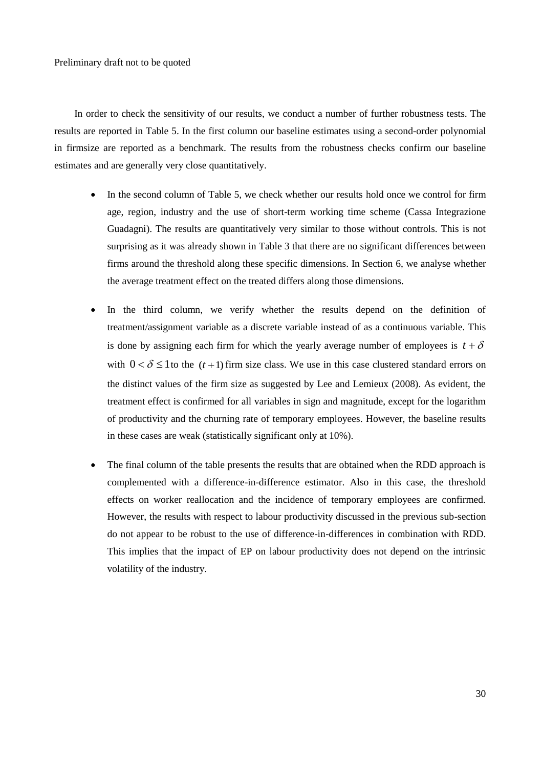In order to check the sensitivity of our results, we conduct a number of further robustness tests. The results are reported in Table 5. In the first column our baseline estimates using a second-order polynomial in firmsize are reported as a benchmark. The results from the robustness checks confirm our baseline estimates and are generally very close quantitatively.

- In the second column of Table 5, we check whether our results hold once we control for firm age, region, industry and the use of short-term working time scheme (Cassa Integrazione Guadagni). The results are quantitatively very similar to those without controls. This is not surprising as it was already shown in Table 3 that there are no significant differences between firms around the threshold along these specific dimensions. In Section 6, we analyse whether the average treatment effect on the treated differs along those dimensions.
- In the third column, we verify whether the results depend on the definition of treatment/assignment variable as a discrete variable instead of as a continuous variable. This is done by assigning each firm for which the yearly average number of employees is  $t + \delta$ with  $0 < \delta \le 1$  to the  $(t+1)$  firm size class. We use in this case clustered standard errors on the distinct values of the firm size as suggested by Lee and Lemieux (2008). As evident, the treatment effect is confirmed for all variables in sign and magnitude, except for the logarithm of productivity and the churning rate of temporary employees. However, the baseline results in these cases are weak (statistically significant only at 10%).
- The final column of the table presents the results that are obtained when the RDD approach is complemented with a difference-in-difference estimator. Also in this case, the threshold effects on worker reallocation and the incidence of temporary employees are confirmed. However, the results with respect to labour productivity discussed in the previous sub-section do not appear to be robust to the use of difference-in-differences in combination with RDD. This implies that the impact of EP on labour productivity does not depend on the intrinsic volatility of the industry.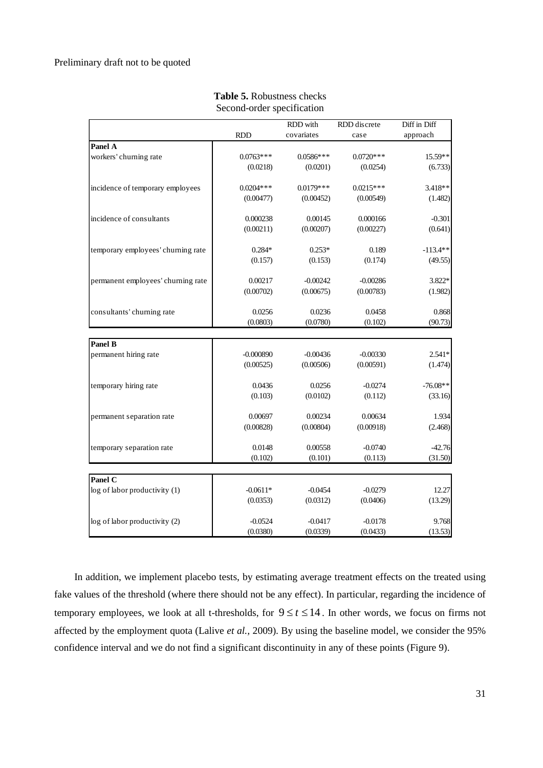|                                    |             | RDD with    | RDD discrete | Diff in Diff |
|------------------------------------|-------------|-------------|--------------|--------------|
|                                    | <b>RDD</b>  | covariates  | case         | approach     |
| Panel A                            |             |             |              |              |
| workers' churning rate             | $0.0763***$ | $0.0586***$ | $0.0720***$  | 15.59**      |
|                                    | (0.0218)    | (0.0201)    | (0.0254)     | (6.733)      |
| incidence of temporary employees   | $0.0204***$ | $0.0179***$ | $0.0215***$  | 3.418**      |
|                                    | (0.00477)   | (0.00452)   | (0.00549)    | (1.482)      |
| incidence of consultants           | 0.000238    | 0.00145     | 0.000166     | $-0.301$     |
|                                    | (0.00211)   | (0.00207)   | (0.00227)    | (0.641)      |
| temporary employees' churning rate | $0.284*$    | $0.253*$    | 0.189        | $-113.4**$   |
|                                    | (0.157)     | (0.153)     | (0.174)      | (49.55)      |
| permanent employees' churning rate | 0.00217     | $-0.00242$  | $-0.00286$   | 3.822*       |
|                                    | (0.00702)   | (0.00675)   | (0.00783)    | (1.982)      |
| consultants' churning rate         | 0.0256      | 0.0236      | 0.0458       | 0.868        |
|                                    | (0.0803)    | (0.0780)    | (0.102)      | (90.73)      |
| Panel B                            |             |             |              |              |
| permanent hiring rate              | $-0.000890$ | $-0.00436$  | $-0.00330$   | $2.541*$     |
|                                    | (0.00525)   | (0.00506)   | (0.00591)    | (1.474)      |
| temporary hiring rate              | 0.0436      | 0.0256      | $-0.0274$    | $-76.08**$   |
|                                    | (0.103)     | (0.0102)    | (0.112)      | (33.16)      |
| permanent separation rate          | 0.00697     | 0.00234     | 0.00634      | 1.934        |
|                                    | (0.00828)   | (0.00804)   | (0.00918)    | (2.468)      |
| temporary separation rate          | 0.0148      | 0.00558     | $-0.0740$    | $-42.76$     |
|                                    | (0.102)     | (0.101)     | (0.113)      | (31.50)      |
| Panel C                            |             |             |              |              |
| log of labor productivity (1)      | $-0.0611*$  | $-0.0454$   | $-0.0279$    | 12.27        |
|                                    | (0.0353)    | (0.0312)    | (0.0406)     | (13.29)      |
| log of labor productivity (2)      | $-0.0524$   | $-0.0417$   | $-0.0178$    | 9.768        |
|                                    | (0.0380)    | (0.0339)    | (0.0433)     | (13.53)      |

**Table 5.** Robustness checks Second-order specification

In addition, we implement placebo tests, by estimating average treatment effects on the treated using fake values of the threshold (where there should not be any effect). In particular, regarding the incidence of temporary employees, we look at all t-thresholds, for  $9 \le t \le 14$ . In other words, we focus on firms not affected by the employment quota (Lalive *et al.,* 2009). By using the baseline model, we consider the 95% confidence interval and we do not find a significant discontinuity in any of these points (Figure 9).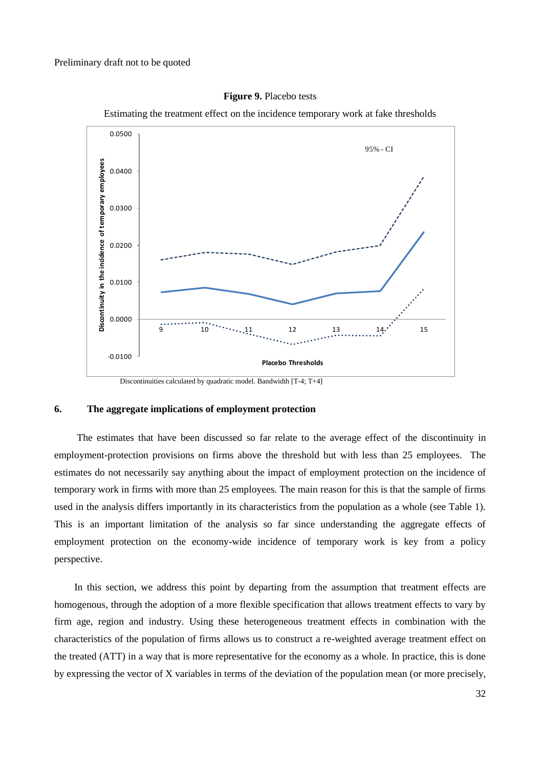

Estimating the treatment effect on the incidence temporary work at fake thresholds



#### **6. The aggregate implications of employment protection**

The estimates that have been discussed so far relate to the average effect of the discontinuity in employment-protection provisions on firms above the threshold but with less than 25 employees. The estimates do not necessarily say anything about the impact of employment protection on the incidence of temporary work in firms with more than 25 employees. The main reason for this is that the sample of firms used in the analysis differs importantly in its characteristics from the population as a whole (see Table 1). This is an important limitation of the analysis so far since understanding the aggregate effects of employment protection on the economy-wide incidence of temporary work is key from a policy perspective.

In this section, we address this point by departing from the assumption that treatment effects are homogenous, through the adoption of a more flexible specification that allows treatment effects to vary by firm age, region and industry. Using these heterogeneous treatment effects in combination with the characteristics of the population of firms allows us to construct a re-weighted average treatment effect on the treated (ATT) in a way that is more representative for the economy as a whole. In practice, this is done by expressing the vector of X variables in terms of the deviation of the population mean (or more precisely,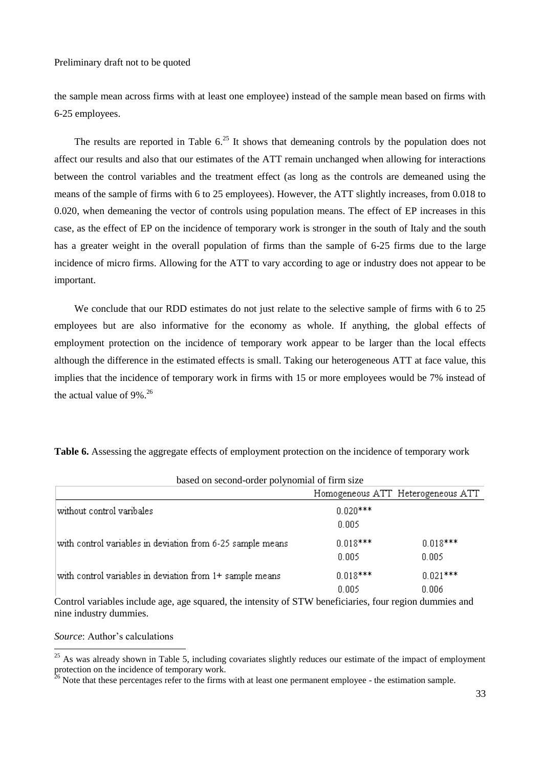the sample mean across firms with at least one employee) instead of the sample mean based on firms with 6-25 employees.

The results are reported in Table  $6<sup>25</sup>$  It shows that demeaning controls by the population does not affect our results and also that our estimates of the ATT remain unchanged when allowing for interactions between the control variables and the treatment effect (as long as the controls are demeaned using the means of the sample of firms with 6 to 25 employees). However, the ATT slightly increases, from 0.018 to 0.020, when demeaning the vector of controls using population means. The effect of EP increases in this case, as the effect of EP on the incidence of temporary work is stronger in the south of Italy and the south has a greater weight in the overall population of firms than the sample of 6-25 firms due to the large incidence of micro firms. Allowing for the ATT to vary according to age or industry does not appear to be important.

We conclude that our RDD estimates do not just relate to the selective sample of firms with 6 to 25 employees but are also informative for the economy as whole. If anything, the global effects of employment protection on the incidence of temporary work appear to be larger than the local effects although the difference in the estimated effects is small. Taking our heterogeneous ATT at face value, this implies that the incidence of temporary work in firms with 15 or more employees would be 7% instead of the actual value of 9%. 26

**Table 6.** Assessing the aggregate effects of employment protection on the incidence of temporary work

| based on second-order polynomial of firm size              |            |                                   |  |  |  |  |
|------------------------------------------------------------|------------|-----------------------------------|--|--|--|--|
|                                                            |            | Homogeneous ATT Heterogeneous ATT |  |  |  |  |
| without control varibales                                  | $0.020***$ |                                   |  |  |  |  |
|                                                            | 0.005      |                                   |  |  |  |  |
| with control variables in deviation from 6-25 sample means | $0.018***$ | $0.018***$                        |  |  |  |  |
|                                                            | 0.005      | 0.005                             |  |  |  |  |
| with control variables in deviation from 1+ sample means   | $0.018***$ | $0.021***$                        |  |  |  |  |
|                                                            | 0.005      | 0.006                             |  |  |  |  |

Control variables include age, age squared, the intensity of STW beneficiaries, four region dummies and nine industry dummies.

Source: Author's calculations

 $\overline{a}$ 

 $25$  As was already shown in Table 5, including covariates slightly reduces our estimate of the impact of employment protection on the incidence of temporary work.

 $26$  Note that these percentages refer to the firms with at least one permanent employee - the estimation sample.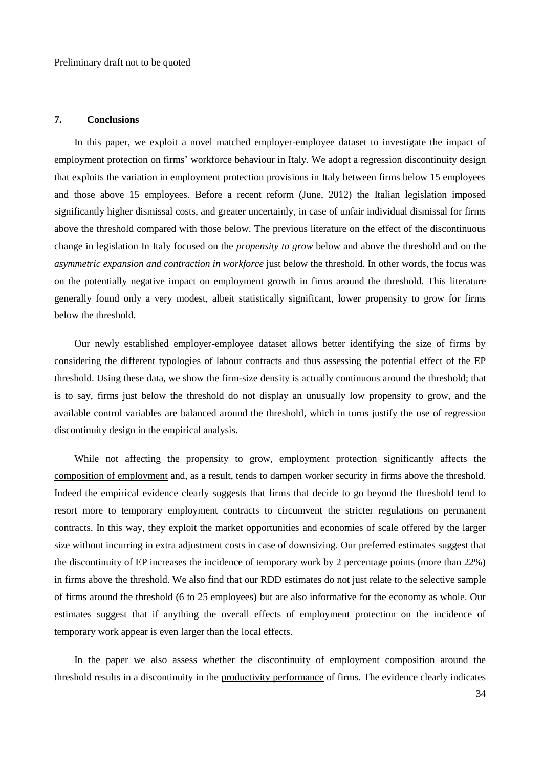### **7. Conclusions**

In this paper, we exploit a novel matched employer-employee dataset to investigate the impact of employment protection on firms" workforce behaviour in Italy. We adopt a regression discontinuity design that exploits the variation in employment protection provisions in Italy between firms below 15 employees and those above 15 employees. Before a recent reform (June, 2012) the Italian legislation imposed significantly higher dismissal costs, and greater uncertainly, in case of unfair individual dismissal for firms above the threshold compared with those below. The previous literature on the effect of the discontinuous change in legislation In Italy focused on the *propensity to grow* below and above the threshold and on the *asymmetric expansion and contraction in workforce* just below the threshold. In other words, the focus was on the potentially negative impact on employment growth in firms around the threshold. This literature generally found only a very modest, albeit statistically significant, lower propensity to grow for firms below the threshold.

Our newly established employer-employee dataset allows better identifying the size of firms by considering the different typologies of labour contracts and thus assessing the potential effect of the EP threshold. Using these data, we show the firm-size density is actually continuous around the threshold; that is to say, firms just below the threshold do not display an unusually low propensity to grow, and the available control variables are balanced around the threshold, which in turns justify the use of regression discontinuity design in the empirical analysis.

While not affecting the propensity to grow, employment protection significantly affects the composition of employment and, as a result, tends to dampen worker security in firms above the threshold. Indeed the empirical evidence clearly suggests that firms that decide to go beyond the threshold tend to resort more to temporary employment contracts to circumvent the stricter regulations on permanent contracts. In this way, they exploit the market opportunities and economies of scale offered by the larger size without incurring in extra adjustment costs in case of downsizing. Our preferred estimates suggest that the discontinuity of EP increases the incidence of temporary work by 2 percentage points (more than 22%) in firms above the threshold. We also find that our RDD estimates do not just relate to the selective sample of firms around the threshold (6 to 25 employees) but are also informative for the economy as whole. Our estimates suggest that if anything the overall effects of employment protection on the incidence of temporary work appear is even larger than the local effects.

In the paper we also assess whether the discontinuity of employment composition around the threshold results in a discontinuity in the productivity performance of firms. The evidence clearly indicates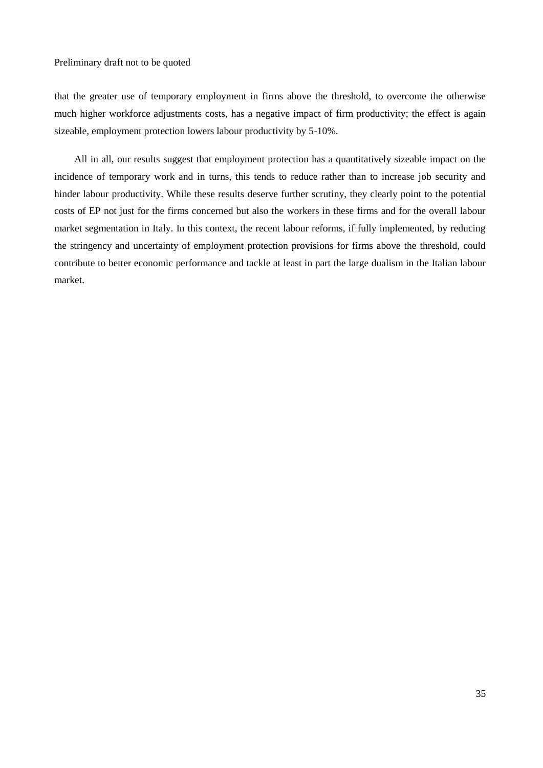that the greater use of temporary employment in firms above the threshold, to overcome the otherwise much higher workforce adjustments costs, has a negative impact of firm productivity; the effect is again sizeable, employment protection lowers labour productivity by 5-10%.

All in all, our results suggest that employment protection has a quantitatively sizeable impact on the incidence of temporary work and in turns, this tends to reduce rather than to increase job security and hinder labour productivity. While these results deserve further scrutiny, they clearly point to the potential costs of EP not just for the firms concerned but also the workers in these firms and for the overall labour market segmentation in Italy. In this context, the recent labour reforms, if fully implemented, by reducing the stringency and uncertainty of employment protection provisions for firms above the threshold, could contribute to better economic performance and tackle at least in part the large dualism in the Italian labour market.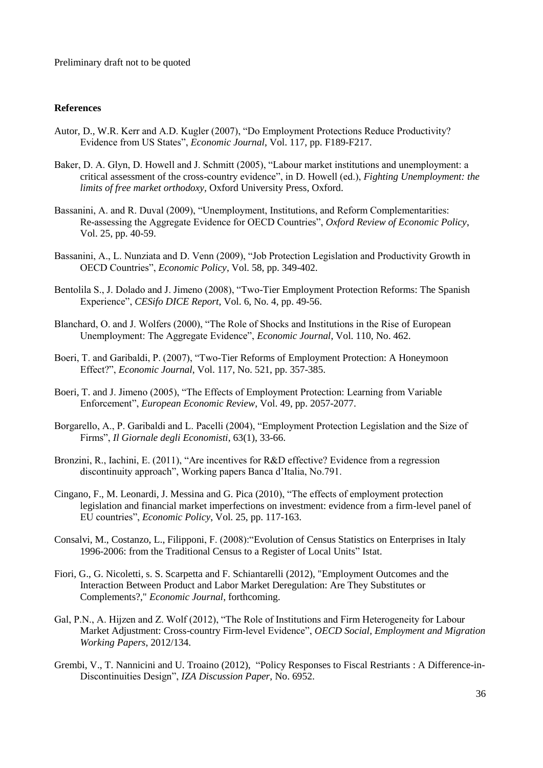## **References**

- Autor, D., W.R. Kerr and A.D. Kugler (2007), "Do Employment Protections Reduce Productivity? Evidence from US States", *Economic Journal*, Vol. 117, pp. F189-F217.
- Baker, D. A. Glyn, D. Howell and J. Schmitt (2005), "Labour market institutions and unemployment: a critical assessment of the cross-country evidence", in D. Howell (ed.), *Fighting Unemployment: the limits of free market orthodoxy,* Oxford University Press, Oxford.
- Bassanini, A. and R. Duval (2009), "Unemployment, Institutions, and Reform Complementarities: Re-assessing the Aggregate Evidence for OECD Countries", *Oxford Review of Economic Policy*, Vol. 25, pp. 40-59.
- Bassanini, A., L. Nunziata and D. Venn (2009), "Job Protection Legislation and Productivity Growth in OECD Countries", *Economic Policy*, Vol. 58, pp. 349-402.
- Bentolila S., J. Dolado and J. Jimeno (2008), "Two-Tier Employment Protection Reforms: The Spanish Experience", *CESifo DICE Report*, Vol. 6, No. 4, pp. 49-56.
- Blanchard, O. and J. Wolfers (2000), "The Role of Shocks and Institutions in the Rise of European Unemployment: The Aggregate Evidence", *Economic Journal*, Vol. 110, No. 462.
- Boeri, T. and Garibaldi, P. (2007), "Two-Tier Reforms of Employment Protection: A Honeymoon Effect?", *Economic Journal*, Vol. 117, No. 521, pp. 357-385.
- Boeri, T. and J. Jimeno (2005), "The Effects of Employment Protection: Learning from Variable Enforcement", *European Economic Review*, Vol. 49, pp. 2057-2077.
- Borgarello, A., P. Garibaldi and L. Pacelli (2004), "Employment Protection Legislation and the Size of Firms", *Il Giornale degli Economisti*, 63(1), 33-66.
- Bronzini, R., Iachini, E. (2011), "Are incentives for R&D effective? Evidence from a regression discontinuity approach", Working papers Banca d"Italia, No.791.
- Cingano, F., M. Leonardi, J. Messina and G. Pica (2010), "The effects of employment protection legislation and financial market imperfections on investment: evidence from a firm-level panel of EU countries", *Economic Policy*, Vol. 25, pp. 117-163.
- Consalvi, M., Costanzo, L., Filipponi, F. (2008):"Evolution of Census Statistics on Enterprises in Italy 1996-2006: from the Traditional Census to a Register of Local Units" Istat.
- Fiori, G., G. Nicoletti, s. S. Scarpetta and F. Schiantarelli (2012), "Employment Outcomes and the Interaction Between Product and Labor Market Deregulation: Are They Substitutes or Complements?," *Economic Journal*, forthcoming.
- Gal, P.N., A. Hijzen and Z. Wolf (2012), "The Role of Institutions and Firm Heterogeneity for Labour Market Adjustment: Cross-country Firm-level Evidence", *OECD Social, Employment and Migration Working Papers*, 2012/134.
- Grembi, V., T. Nannicini and U. Troaino (2012), "Policy Responses to Fiscal Restriants : A Difference-in-Discontinuities Design", *IZA Discussion Paper*, No. 6952.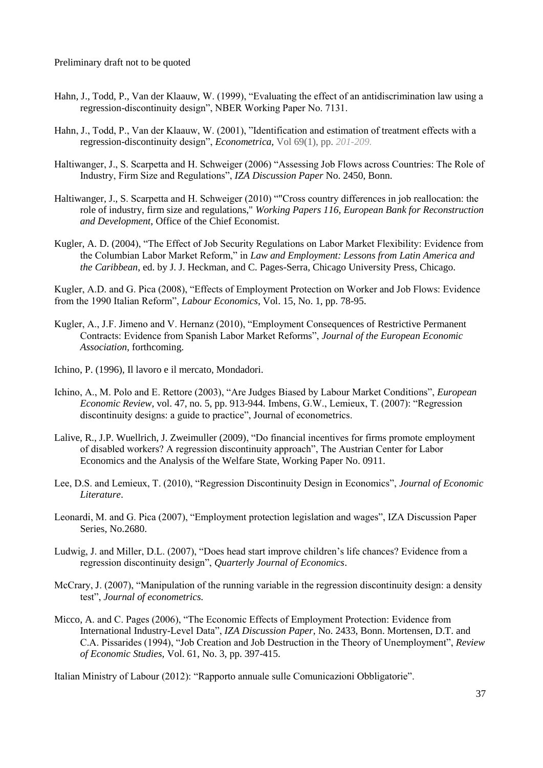- Hahn, J., Todd, P., Van der Klaauw, W. (1999), "Evaluating the effect of an antidiscrimination law using a regression-discontinuity design", NBER Working Paper No. 7131.
- Hahn, J., Todd, P., Van der Klaauw, W. (2001), "Identification and estimation of treatment effects with a regression-discontinuity design", *Econometrica,* Vol 69(1), pp. *201-209.*
- Haltiwanger, J., S. Scarpetta and H. Schweiger (2006) "Assessing Job Flows across Countries: The Role of Industry, Firm Size and Regulations", *IZA Discussion Paper* No. 2450, Bonn.
- Haltiwanger, J., S. Scarpetta and H. Schweiger (2010) ""Cross country differences in job reallocation: the role of industry, firm size and regulations," *Working Papers 116, European Bank for Reconstruction and Development*, Office of the Chief Economist.
- Kugler, A. D. (2004), "The Effect of Job Security Regulations on Labor Market Flexibility: Evidence from the Columbian Labor Market Reform," in *Law and Employment: Lessons from Latin America and the Caribbean*, ed. by J. J. Heckman, and C. Pages-Serra, Chicago University Press, Chicago.

Kugler, A.D. and G. Pica (2008), "Effects of Employment Protection on Worker and Job Flows: Evidence from the 1990 Italian Reform", *Labour Economics*, Vol. 15, No. 1, pp. 78-95.

- Kugler, A., J.F. Jimeno and V. Hernanz (2010), "Employment Consequences of Restrictive Permanent Contracts: Evidence from Spanish Labor Market Reforms", *Journal of the European Economic Association*, forthcoming.
- Ichino, P. (1996), Il lavoro e il mercato, Mondadori.
- Ichino, A., M. Polo and E. Rettore (2003), "Are Judges Biased by Labour Market Conditions", *European Economic Review*, vol. 47, no. 5, pp. 913-944. Imbens, G.W., Lemieux, T. (2007): "Regression discontinuity designs: a guide to practice", Journal of econometrics.
- Lalive, R., J.P. Wuellrich, J. Zweimuller (2009), "Do financial incentives for firms promote employment of disabled workers? A regression discontinuity approach", The Austrian Center for Labor Economics and the Analysis of the Welfare State, Working Paper No. 0911.
- Lee, D.S. and Lemieux, T. (2010), "Regression Discontinuity Design in Economics", *Journal of Economic Literature*.
- Leonardi, M. and G. Pica (2007), "Employment protection legislation and wages", IZA Discussion Paper Series, No.2680.
- Ludwig, J. and Miller, D.L. (2007), "Does head start improve children"s life chances? Evidence from a regression discontinuity design", *Quarterly Journal of Economics*.
- McCrary, J. (2007), "Manipulation of the running variable in the regression discontinuity design: a density test", *Journal of econometrics.*
- Micco, A. and C. Pages (2006), "The Economic Effects of Employment Protection: Evidence from International Industry-Level Data", *IZA Discussion Paper*, No. 2433, Bonn. Mortensen, D.T. and C.A. Pissarides (1994), "Job Creation and Job Destruction in the Theory of Unemployment", *Review of Economic Studies*, Vol. 61, No. 3, pp. 397-415.

Italian Ministry of Labour (2012): "Rapporto annuale sulle Comunicazioni Obbligatorie".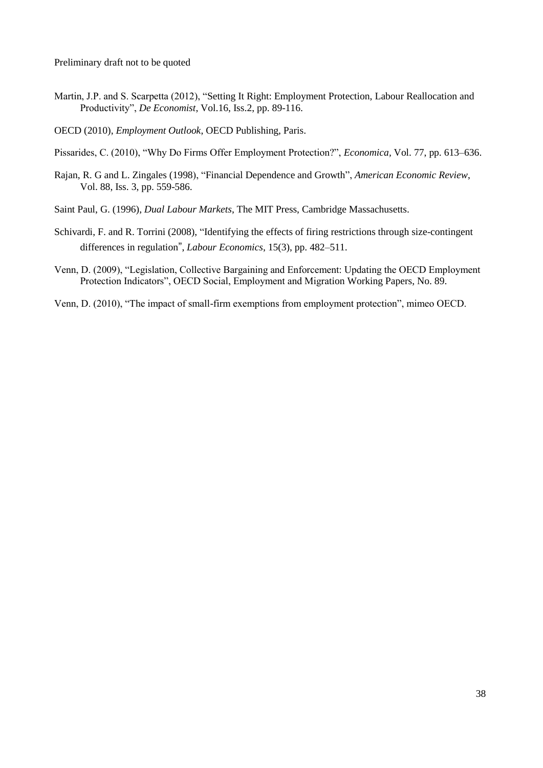- Martin, J.P. and S. Scarpetta (2012), "Setting It Right: Employment Protection, Labour Reallocation and Productivity", *De Economist*, Vol.16, Iss.2, pp. 89-116.
- OECD (2010), *Employment Outlook*, OECD Publishing, Paris.

Pissarides, C. (2010), "Why Do Firms Offer Employment Protection?", *Economica,* Vol. 77, pp. 613–636.

Rajan, R. G and L. Zingales (1998), "Financial Dependence and Growth", *American Economic Review*, Vol. 88, Iss. 3, pp. 559-586.

Saint Paul, G. (1996), *Dual Labour Markets*, The MIT Press, Cambridge Massachusetts.

- Schivardi, F. and R. Torrini (2008), "Identifying the effects of firing restrictions through size-contingent differences in regulation", *Labour Economics*, 15(3), pp. 482–511.
- Venn, D. (2009), "Legislation, Collective Bargaining and Enforcement: Updating the OECD Employment Protection Indicators", OECD Social, Employment and Migration Working Papers, No. 89.
- Venn, D. (2010), "The impact of small-firm exemptions from employment protection", mimeo OECD.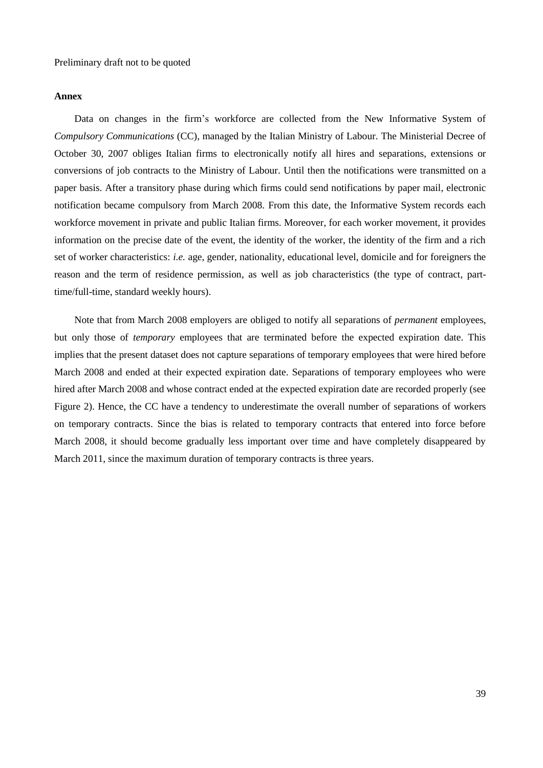### **Annex**

Data on changes in the firm"s workforce are collected from the New Informative System of *Compulsory Communications* (CC), managed by the Italian Ministry of Labour. The Ministerial Decree of October 30, 2007 obliges Italian firms to electronically notify all hires and separations, extensions or conversions of job contracts to the Ministry of Labour. Until then the notifications were transmitted on a paper basis. After a transitory phase during which firms could send notifications by paper mail, electronic notification became compulsory from March 2008. From this date, the Informative System records each workforce movement in private and public Italian firms. Moreover, for each worker movement, it provides information on the precise date of the event, the identity of the worker, the identity of the firm and a rich set of worker characteristics: *i.e.* age, gender, nationality, educational level, domicile and for foreigners the reason and the term of residence permission, as well as job characteristics (the type of contract, parttime/full-time, standard weekly hours).

Note that from March 2008 employers are obliged to notify all separations of *permanent* employees, but only those of *temporary* employees that are terminated before the expected expiration date. This implies that the present dataset does not capture separations of temporary employees that were hired before March 2008 and ended at their expected expiration date. Separations of temporary employees who were hired after March 2008 and whose contract ended at the expected expiration date are recorded properly (see Figure 2). Hence, the CC have a tendency to underestimate the overall number of separations of workers on temporary contracts. Since the bias is related to temporary contracts that entered into force before March 2008, it should become gradually less important over time and have completely disappeared by March 2011, since the maximum duration of temporary contracts is three years.